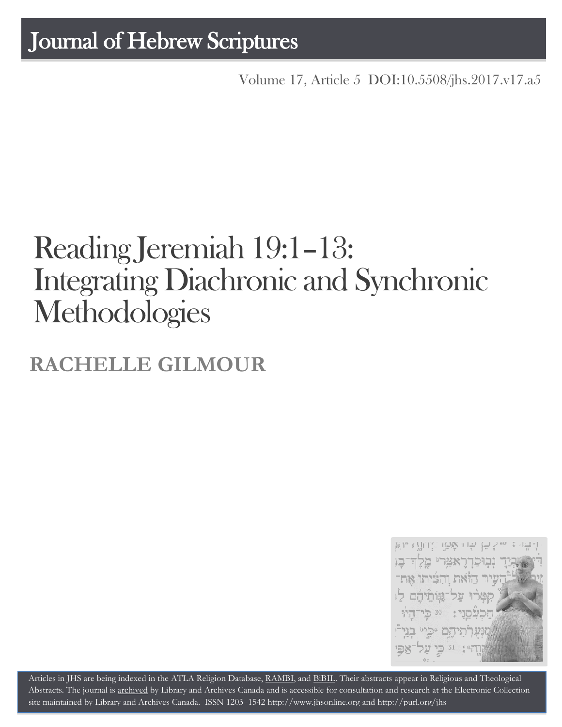## Journal of Hebrew Scriptures

Volume 17, Article 5 [DOI:10.5508/jhs.2017.v17.a5](http://dx.doi.org/10.5508/jhs.2017.v17.a5)

# Reading Jeremiah 19:1–13: Integrating Diachronic and Synchronic **Methodologies**

## **RACHELLE GILMOUR**



Articles in JHS are being indexed in the ATLA Religion Database, [RAMBI,](http://jnul.huji.ac.il/rambi/) and [BiBIL.](http://bibil.net/) Their abstracts appear in Religious and Theological Abstracts. The journal is [archived](http://epe.lac-bac.gc.ca/100/201/300/journal_hebrew/index.html) by Library and Archives Canada and is accessible for consultation and research at the Electronic Collection site maintained by [Library and Archives Canada.](http://collectionscanada.ca/electroniccollection/003008-200-e.html) ISSN 1203–154[2 http://www.jhsonline.org](http://www.jhsonline.org/) and<http://purl.org/jhs>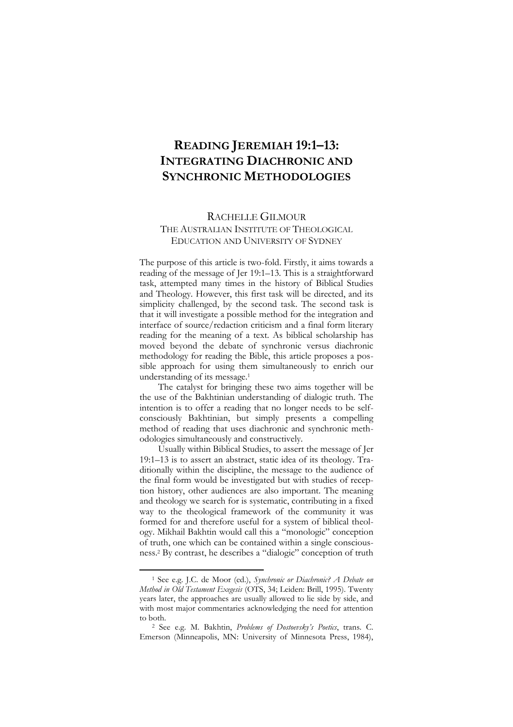### **READING JEREMIAH 19:1–13: INTEGRATING DIACHRONIC AND SYNCHRONIC METHODOLOGIES**

#### RACHELLE GILMOUR

#### THE AUSTRALIAN INSTITUTE OF THEOLOGICAL EDUCATION AND UNIVERSITY OF SYDNEY

The purpose of this article is two-fold. Firstly, it aims towards a reading of the message of Jer 19:1–13. This is a straightforward task, attempted many times in the history of Biblical Studies and Theology. However, this first task will be directed, and its simplicity challenged, by the second task. The second task is that it will investigate a possible method for the integration and interface of source/redaction criticism and a final form literary reading for the meaning of a text. As biblical scholarship has moved beyond the debate of synchronic versus diachronic methodology for reading the Bible, this article proposes a possible approach for using them simultaneously to enrich our understanding of its message.<sup>1</sup>

The catalyst for bringing these two aims together will be the use of the Bakhtinian understanding of dialogic truth. The intention is to offer a reading that no longer needs to be selfconsciously Bakhtinian, but simply presents a compelling method of reading that uses diachronic and synchronic methodologies simultaneously and constructively.

Usually within Biblical Studies, to assert the message of Jer 19:1–13 is to assert an abstract, static idea of its theology. Traditionally within the discipline, the message to the audience of the final form would be investigated but with studies of reception history, other audiences are also important. The meaning and theology we search for is systematic, contributing in a fixed way to the theological framework of the community it was formed for and therefore useful for a system of biblical theology. Mikhail Bakhtin would call this a "monologic" conception of truth, one which can be contained within a single consciousness.<sup>2</sup> By contrast, he describes a "dialogic" conception of truth

<sup>1</sup> See e.g. J.C. de Moor (ed.), *Synchronic or Diachronic? A Debate on Method in Old Testament Exegesis* (OTS, 34; Leiden: Brill, 1995). Twenty years later, the approaches are usually allowed to lie side by side, and with most major commentaries acknowledging the need for attention to both.

<sup>2</sup> See e.g. M. Bakhtin, *Problems of Dostoevsky's Poetics*, trans. C. Emerson (Minneapolis, MN: University of Minnesota Press, 1984),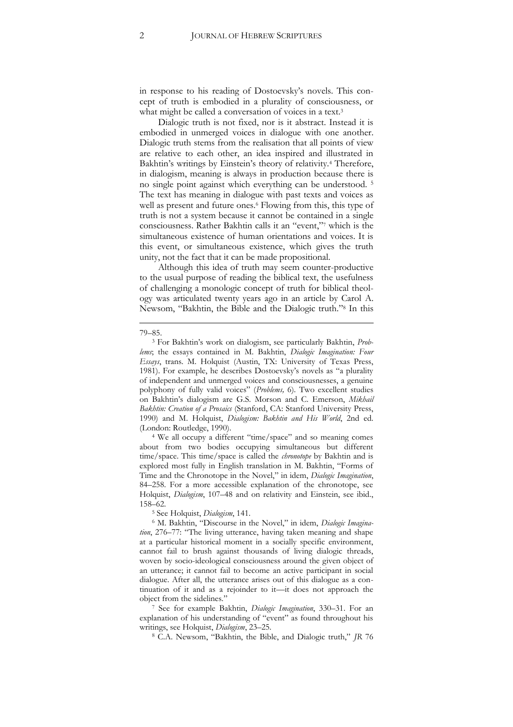in response to his reading of Dostoevsky's novels. This concept of truth is embodied in a plurality of consciousness, or what might be called a conversation of voices in a text.<sup>3</sup>

Dialogic truth is not fixed, nor is it abstract. Instead it is embodied in unmerged voices in dialogue with one another. Dialogic truth stems from the realisation that all points of view are relative to each other, an idea inspired and illustrated in Bakhtin's writings by Einstein's theory of relativity.<sup>4</sup> Therefore, in dialogism, meaning is always in production because there is no single point against which everything can be understood. <sup>5</sup> The text has meaning in dialogue with past texts and voices as well as present and future ones.<sup>6</sup> Flowing from this, this type of truth is not a system because it cannot be contained in a single consciousness. Rather Bakhtin calls it an "event," <sup>7</sup> which is the simultaneous existence of human orientations and voices. It is this event, or simultaneous existence, which gives the truth unity, not the fact that it can be made propositional.

Although this idea of truth may seem counter-productive to the usual purpose of reading the biblical text, the usefulness of challenging a monologic concept of truth for biblical theology was articulated twenty years ago in an article by Carol A. Newsom, "Bakhtin, the Bible and the Dialogic truth."<sup>8</sup> In this

<sup>4</sup> We all occupy a different "time/space" and so meaning comes about from two bodies occupying simultaneous but different time/space. This time/space is called the *chronotope* by Bakhtin and is explored most fully in English translation in M. Bakhtin, "Forms of Time and the Chronotope in the Novel," in idem, *Dialogic Imagination*, 84–258. For a more accessible explanation of the chronotope, see Holquist, *Dialogism*, 107–48 and on relativity and Einstein, see ibid., 158–62.

<sup>5</sup> See Holquist, *Dialogism*, 141.

<sup>7</sup> See for example Bakhtin, *Dialogic Imagination*, 330–31. For an explanation of his understanding of "event" as found throughout his writings, see Holquist, *Dialogism*, 23–25.

<sup>8</sup> C.A. Newsom, "Bakhtin, the Bible, and Dialogic truth," *JR* 76

<sup>-</sup>79–85.

<sup>3</sup> For Bakhtin's work on dialogism, see particularly Bakhtin, *Problems*; the essays contained in M. Bakhtin, *Dialogic Imagination: Four Essays*, trans. M. Holquist (Austin, TX: University of Texas Press, 1981). For example, he describes Dostoevsky's novels as "a plurality of independent and unmerged voices and consciousnesses, a genuine polyphony of fully valid voices" (*Problems,* 6). Two excellent studies on Bakhtin's dialogism are G.S. Morson and C. Emerson, *Mikhail Bakhtin: Creation of a Prosaics* (Stanford, CA: Stanford University Press, 1990) and M. Holquist, *Dialogism: Bakhtin and His World*, 2nd ed. (London: Routledge, 1990).

<sup>6</sup> M. Bakhtin, "Discourse in the Novel," in idem, *Dialogic Imagination*, 276–77: "The living utterance, having taken meaning and shape at a particular historical moment in a socially specific environment, cannot fail to brush against thousands of living dialogic threads, woven by socio-ideological consciousness around the given object of an utterance; it cannot fail to become an active participant in social dialogue. After all, the utterance arises out of this dialogue as a continuation of it and as a rejoinder to it—it does not approach the object from the sidelines."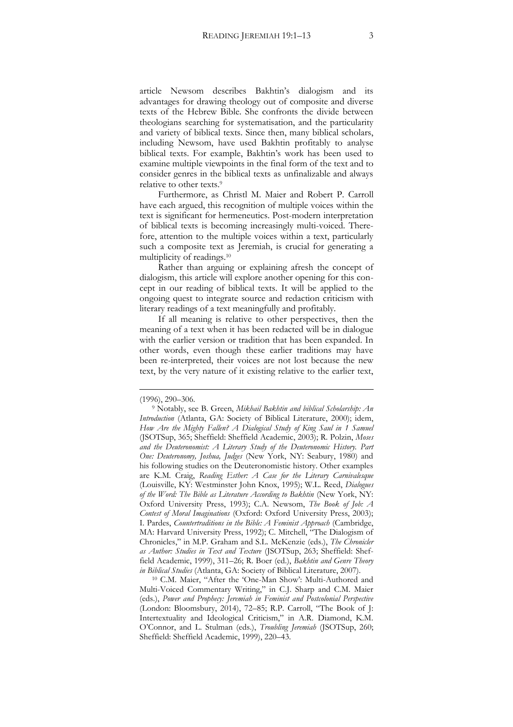article Newsom describes Bakhtin's dialogism and its advantages for drawing theology out of composite and diverse texts of the Hebrew Bible. She confronts the divide between theologians searching for systematisation, and the particularity and variety of biblical texts. Since then, many biblical scholars, including Newsom, have used Bakhtin profitably to analyse biblical texts. For example, Bakhtin's work has been used to examine multiple viewpoints in the final form of the text and to consider genres in the biblical texts as unfinalizable and always relative to other texts.<sup>9</sup>

Furthermore, as Christl M. Maier and Robert P. Carroll have each argued, this recognition of multiple voices within the text is significant for hermeneutics. Post-modern interpretation of biblical texts is becoming increasingly multi-voiced. Therefore, attention to the multiple voices within a text, particularly such a composite text as Jeremiah, is crucial for generating a multiplicity of readings.<sup>10</sup>

Rather than arguing or explaining afresh the concept of dialogism, this article will explore another opening for this concept in our reading of biblical texts. It will be applied to the ongoing quest to integrate source and redaction criticism with literary readings of a text meaningfully and profitably.

If all meaning is relative to other perspectives, then the meaning of a text when it has been redacted will be in dialogue with the earlier version or tradition that has been expanded. In other words, even though these earlier traditions may have been re-interpreted, their voices are not lost because the new text, by the very nature of it existing relative to the earlier text,

-

<sup>10</sup> C.M. Maier, "After the 'One-Man Show': Multi-Authored and Multi-Voiced Commentary Writing," in C.J. Sharp and C.M. Maier (eds.), *Power and Prophecy: Jeremiah in Feminist and Postcolonial Perspective*  (London: Bloomsbury, 2014), 72–85; R.P. Carroll, "The Book of J: Intertextuality and Ideological Criticism," in A.R. Diamond, K.M. O'Connor, and L. Stulman (eds.), *Troubling Jeremiah* (JSOTSup, 260; Sheffield: Sheffield Academic, 1999), 220–43.

<sup>(1996), 290</sup>–306.

<sup>9</sup> Notably, see B. Green, *Mikhail Bakhtin and biblical Scholarship: An Introduction* (Atlanta, GA: Society of Biblical Literature, 2000); idem, *How Are the Mighty Fallen? A Dialogical Study of King Saul in 1 Samuel*  (JSOTSup, 365; Sheffield: Sheffield Academic, 2003); R. Polzin, *Moses and the Deuteronomist: A Literary Study of the Deuteronomic History. Part One: Deuteronomy, Joshua, Judges* (New York, NY: Seabury, 1980) and his following studies on the Deuteronomistic history. Other examples are K.M. Craig, *Reading Esther: A Case for the Literary Carnivalesque*  (Louisville, KY: Westminster John Knox, 1995); W.L. Reed, *Dialogues of the Word: The Bible as Literature According to Bakhtin* (New York, NY: Oxford University Press, 1993); C.A. Newsom, *The Book of Job: A Contest of Moral Imaginations* (Oxford: Oxford University Press, 2003); I. Pardes, *Countertraditions in the Bible: A Feminist Approach* (Cambridge, MA: Harvard University Press, 1992); C. Mitchell, <sup>te</sup>The Dialogism of Chronicles," in M.P. Graham and S.L. McKenzie (eds.), *The Chronicler as Author: Studies in Text and Texture* (JSOTSup, 263; Sheffield: Sheffield Academic, 1999), 311–26; R. Boer (ed.), *Bakhtin and Genre Theory in Biblical Studies* (Atlanta, GA: Society of Biblical Literature, 2007).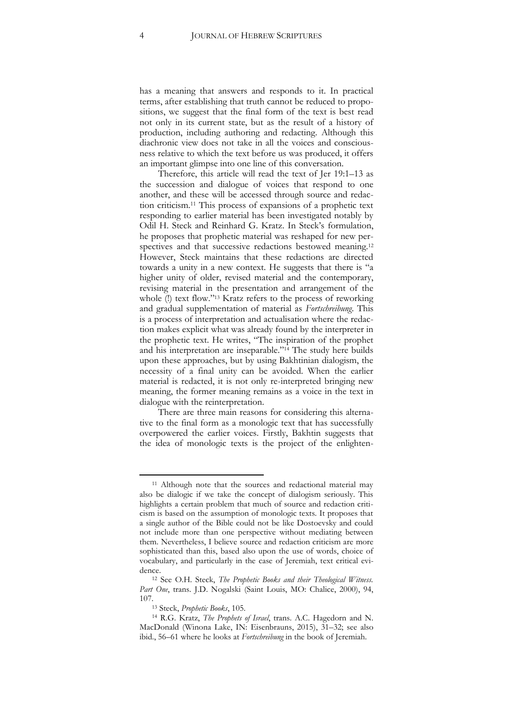has a meaning that answers and responds to it. In practical terms, after establishing that truth cannot be reduced to propositions, we suggest that the final form of the text is best read not only in its current state, but as the result of a history of production, including authoring and redacting. Although this diachronic view does not take in all the voices and consciousness relative to which the text before us was produced, it offers an important glimpse into one line of this conversation.

Therefore, this article will read the text of Jer 19:1–13 as the succession and dialogue of voices that respond to one another, and these will be accessed through source and redaction criticism.<sup>11</sup> This process of expansions of a prophetic text responding to earlier material has been investigated notably by Odil H. Steck and Reinhard G. Kratz. In Steck's formulation, he proposes that prophetic material was reshaped for new perspectives and that successive redactions bestowed meaning.<sup>12</sup> However, Steck maintains that these redactions are directed towards a unity in a new context. He suggests that there is "a higher unity of older, revised material and the contemporary, revising material in the presentation and arrangement of the whole (!) text flow."<sup>13</sup> Kratz refers to the process of reworking and gradual supplementation of material as *Fortschreibung*. This is a process of interpretation and actualisation where the redaction makes explicit what was already found by the interpreter in the prophetic text. He writes, "The inspiration of the prophet and his interpretation are inseparable." <sup>14</sup> The study here builds upon these approaches, but by using Bakhtinian dialogism, the necessity of a final unity can be avoided. When the earlier material is redacted, it is not only re-interpreted bringing new meaning, the former meaning remains as a voice in the text in dialogue with the reinterpretation.

There are three main reasons for considering this alternative to the final form as a monologic text that has successfully overpowered the earlier voices. Firstly, Bakhtin suggests that the idea of monologic texts is the project of the enlighten-

<sup>&</sup>lt;sup>11</sup> Although note that the sources and redactional material may also be dialogic if we take the concept of dialogism seriously. This highlights a certain problem that much of source and redaction criticism is based on the assumption of monologic texts. It proposes that a single author of the Bible could not be like Dostoevsky and could not include more than one perspective without mediating between them. Nevertheless, I believe source and redaction criticism are more sophisticated than this, based also upon the use of words, choice of vocabulary, and particularly in the case of Jeremiah, text critical evidence.

<sup>12</sup> See O.H. Steck, *The Prophetic Books and their Theological Witness. Part One*, trans. J.D. Nogalski (Saint Louis, MO: Chalice, 2000), 94, 107.

<sup>13</sup> Steck, *Prophetic Books*, 105.

<sup>14</sup> R.G. Kratz, *The Prophets of Israel*, trans. A.C. Hagedorn and N. MacDonald (Winona Lake, IN: Eisenbrauns, 2015), 31–32; see also ibid., 56–61 where he looks at *Fortschreibung* in the book of Jeremiah.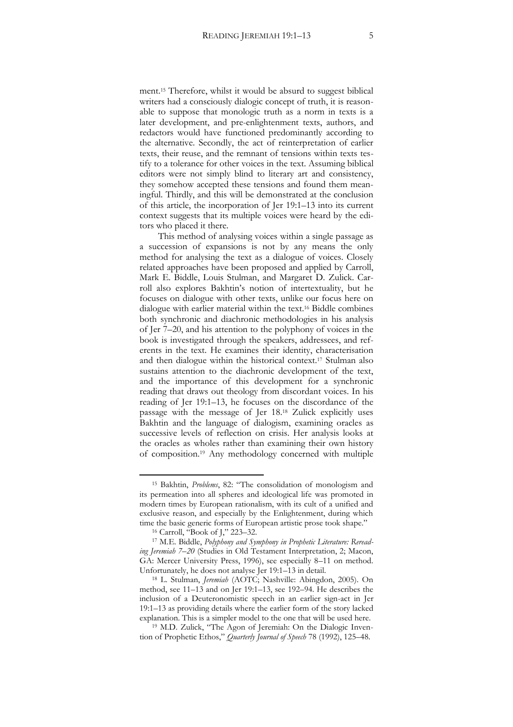ment.<sup>15</sup> Therefore, whilst it would be absurd to suggest biblical writers had a consciously dialogic concept of truth, it is reasonable to suppose that monologic truth as a norm in texts is a later development, and pre-enlightenment texts, authors, and redactors would have functioned predominantly according to the alternative. Secondly, the act of reinterpretation of earlier texts, their reuse, and the remnant of tensions within texts testify to a tolerance for other voices in the text. Assuming biblical editors were not simply blind to literary art and consistency, they somehow accepted these tensions and found them meaningful. Thirdly, and this will be demonstrated at the conclusion of this article, the incorporation of Jer 19:1–13 into its current context suggests that its multiple voices were heard by the editors who placed it there.

This method of analysing voices within a single passage as a succession of expansions is not by any means the only method for analysing the text as a dialogue of voices. Closely related approaches have been proposed and applied by Carroll, Mark E. Biddle, Louis Stulman, and Margaret D. Zulick. Carroll also explores Bakhtin's notion of intertextuality, but he focuses on dialogue with other texts, unlike our focus here on dialogue with earlier material within the text.<sup>16</sup> Biddle combines both synchronic and diachronic methodologies in his analysis of Jer 7–20, and his attention to the polyphony of voices in the book is investigated through the speakers, addressees, and referents in the text. He examines their identity, characterisation and then dialogue within the historical context.<sup>17</sup> Stulman also sustains attention to the diachronic development of the text, and the importance of this development for a synchronic reading that draws out theology from discordant voices. In his reading of Jer 19:1–13, he focuses on the discordance of the passage with the message of Jer 18.<sup>18</sup> Zulick explicitly uses Bakhtin and the language of dialogism, examining oracles as successive levels of reflection on crisis. Her analysis looks at the oracles as wholes rather than examining their own history of composition.<sup>19</sup> Any methodology concerned with multiple

 $\overline{a}$ 

<sup>19</sup> M.D. Zulick, "The Agon of Jeremiah: On the Dialogic Invention of Prophetic Ethos," *Quarterly Journal of Speech* 78 (1992), 125–48.

<sup>15</sup> Bakhtin, *Problems*, 82: "The consolidation of monologism and its permeation into all spheres and ideological life was promoted in modern times by European rationalism, with its cult of a unified and exclusive reason, and especially by the Enlightenment, during which time the basic generic forms of European artistic prose took shape."

<sup>16</sup> Carroll, "Book of J," 223–32.

<sup>17</sup> M.E. Biddle, *Polyphony and Symphony in Prophetic Literature: Rereading Jeremiah 7–20* (Studies in Old Testament Interpretation, 2; Macon, GA: Mercer University Press, 1996), see especially 8–11 on method. Unfortunately, he does not analyse Jer 19:1–13 in detail.

<sup>18</sup> L. Stulman, *Jeremiah* (AOTC; Nashville: Abingdon, 2005). On method, see 11–13 and on Jer 19:1–13, see 192–94. He describes the inclusion of a Deuteronomistic speech in an earlier sign-act in Jer 19:1–13 as providing details where the earlier form of the story lacked explanation. This is a simpler model to the one that will be used here.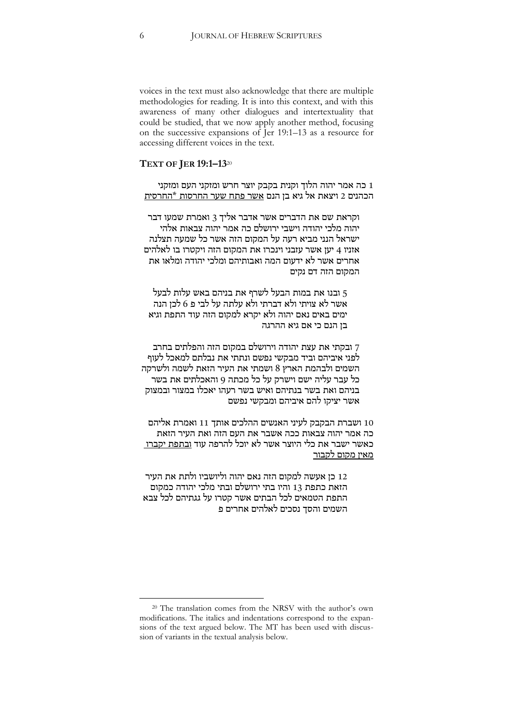voices in the text must also acknowledge that there are multiple methodologies for reading. It is into this context, and with this awareness of many other dialogues and intertextuality that could be studied, that we now apply another method, focusing on the successive expansions of Jer 19:1–13 as a resource for accessing different voices in the text.

#### **TEXT OF JER 19:1–13**<sup>20</sup>

1 כה אמר יהוה הלוך וקנית בקבק יוצר חרש ומזקני העם ומזקני הכהנים 2 ויצאת אל גיא בן הנם אשר פתח שער החרסות \*החרסית

וקראת שם את הדברים אשר אדבר אליך 3 ואמרת שמעו דבר יהוה מלכי יהודה וישבי ירושלם כה אמר יהוה צבאות אלהי ישראל הנני מביא רעה על המקום הזה אשר כל שמעה תצלנה אזניו 4 יען אשר עזבני וינכרו את המקום הזה ויקטרו בו לאלהים אחרים אשר לא ידעום המה ואבותיהם ומלכי יהודה ומלאו את המקום הזה דם נקים

5 ובנו את במות הבעל לשרף את בניהם באש עלות לבעל אשר לא צויתי ולא דברתי ולא עלתה על לבי פ 6 לכן הנה ימים באים נאם יהוה ולא יקרא למקום הזה עוד התפת וגיא בן הנם כי אם גיא ההרגה

7 ובקתי את עצת יהודה וירושלם במקום הזה והפלתים בחרב לפני איביהם וביד מבקשי נפשם ונתתי את נבלתם למאכל לעוף השמים ולבהמת הארץ 8 ושמתי את העיר הזאת לשמה ולשרקה כל עבר עליה ישם וישרק על כל מכתה 9 והאכלתים את בשר בניהם ואת בשר בנתיהם ואיש בשר רעהו יאכלו במצור ובמצוק אשר יציקו להם איביהם ומבקשי נפשם

11 ושברת הבקבק לעיני האנשים ההלכים אותך 11 ואמרת אליהם כה אמר יהוה צבאות ככה אשבר את העם הזה ואת העיר הזאת כאשר ישבר את כלי היוצר אשר לא יוכל להרפה עוד ובתפת יקברו מאין מקום לקבור

12 כן אעשה למקום הזה נאם יהוה וליושביו ולתת את העיר הזאת כתפת 13 והיו בתי ירושלם ובתי מלכי יהודה כמקום התפת הטמאים לכל הבתים אשר קטרו על גגתיהם לכל צבא השמים והסך נסכים לאלהים אחרים פ

<sup>20</sup> The translation comes from the NRSV with the author's own modifications. The italics and indentations correspond to the expansions of the text argued below. The MT has been used with discussion of variants in the textual analysis below.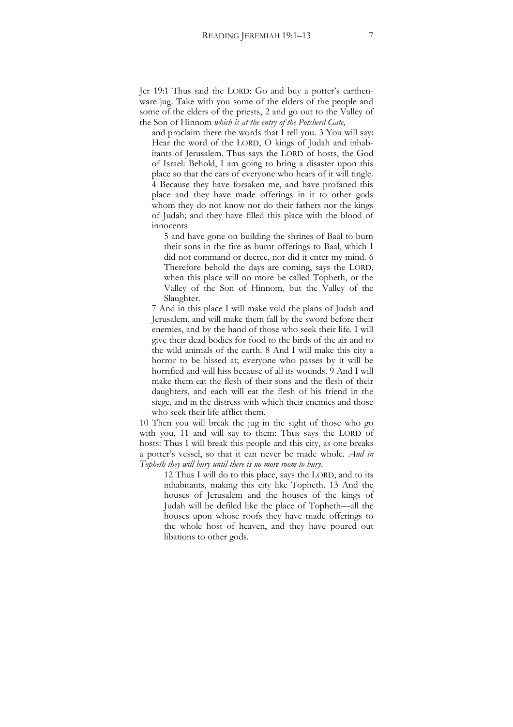Jer 19:1 Thus said the LORD: Go and buy a potter's earthenware jug. Take with you some of the elders of the people and some of the elders of the priests, 2 and go out to the Valley of the Son of Hinnom *which is at the entry of the Potsherd Gate,*

and proclaim there the words that I tell you. 3 You will say: Hear the word of the LORD, O kings of Judah and inhabitants of Jerusalem. Thus says the LORD of hosts, the God of Israel: Behold, I am going to bring a disaster upon this place so that the ears of everyone who hears of it will tingle. 4 Because they have forsaken me, and have profaned this place and they have made offerings in it to other gods whom they do not know nor do their fathers nor the kings of Judah; and they have filled this place with the blood of innocents

5 and have gone on building the shrines of Baal to burn their sons in the fire as burnt offerings to Baal, which I did not command or decree, nor did it enter my mind. 6 Therefore behold the days are coming, says the LORD, when this place will no more be called Topheth, or the Valley of the Son of Hinnom, but the Valley of the Slaughter.

7 And in this place I will make void the plans of Judah and Jerusalem, and will make them fall by the sword before their enemies, and by the hand of those who seek their life. I will give their dead bodies for food to the birds of the air and to the wild animals of the earth. 8 And I will make this city a horror to be hissed at; everyone who passes by it will be horrified and will hiss because of all its wounds. 9 And I will make them eat the flesh of their sons and the flesh of their daughters, and each will eat the flesh of his friend in the siege, and in the distress with which their enemies and those who seek their life afflict them.

10 Then you will break the jug in the sight of those who go with you, 11 and will say to them: Thus says the LORD of hosts: Thus I will break this people and this city, as one breaks a potter's vessel, so that it can never be made whole. *And in Topheth they will bury until there is no more room to bury*.

12 Thus I will do to this place, says the LORD, and to its inhabitants, making this city like Topheth. 13 And the houses of Jerusalem and the houses of the kings of Judah will be defiled like the place of Topheth—all the houses upon whose roofs they have made offerings to the whole host of heaven, and they have poured out libations to other gods.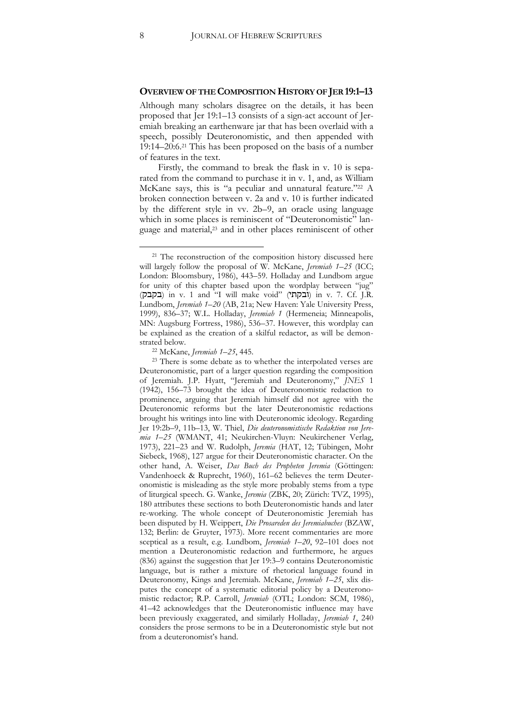#### **OVERVIEW OF THE COMPOSITION HISTORY OF JER 19:1–13**

Although many scholars disagree on the details, it has been proposed that Jer 19:1–13 consists of a sign-act account of Jeremiah breaking an earthenware jar that has been overlaid with a speech, possibly Deuteronomistic, and then appended with 19:14–20:6.<sup>21</sup> This has been proposed on the basis of a number of features in the text.

Firstly, the command to break the flask in v. 10 is separated from the command to purchase it in v. 1, and, as William McKane says, this is "a peculiar and unnatural feature." <sup>22</sup> A broken connection between v. 2a and v. 10 is further indicated by the different style in vv. 2b–9, an oracle using language which in some places is reminiscent of "Deuteronomistic" language and material,<sup>23</sup> and in other places reminiscent of other

<sup>22</sup> McKane, *Jeremiah 1*–*25*, 445.

j

<sup>&</sup>lt;sup>21</sup> The reconstruction of the composition history discussed here will largely follow the proposal of W. McKane, *Jeremiah 1*–*25* (ICC; London: Bloomsbury, 1986), 443–59. Holladay and Lundbom argue for unity of this chapter based upon the wordplay between "jug" (בקבק (in v. 1 and "I will make void" (ובקתי (in v. 7. Cf. J.R. Lundbom, *Jeremiah 1*–*20* (AB, 21a; New Haven: Yale University Press, 1999), 836–37; W.L. Holladay, *Jeremiah 1* (Hermeneia; Minneapolis, MN: Augsburg Fortress, 1986), 536–37. However, this wordplay can be explained as the creation of a skilful redactor, as will be demonstrated below.

<sup>23</sup> There is some debate as to whether the interpolated verses are Deuteronomistic, part of a larger question regarding the composition of Jeremiah. J.P. Hyatt, "Jeremiah and Deuteronomy," *JNES* 1 (1942), 156–73 brought the idea of Deuteronomistic redaction to prominence, arguing that Jeremiah himself did not agree with the Deuteronomic reforms but the later Deuteronomistic redactions brought his writings into line with Deuteronomic ideology. Regarding Jer 19:2b–9, 11b–13, W. Thiel, *Die deuteronomistische Redaktion von Jeremia 1*–*25* (WMANT, 41; Neukirchen-Vluyn: Neukirchener Verlag, 1973), 221–23 and W. Rudolph, *Jeremia* (HAT, 12; Tübingen, Mohr Siebeck, 1968), 127 argue for their Deuteronomistic character. On the other hand, A. Weiser, *Das Buch des Propheten Jeremia* (Göttingen: Vandenhoeck & Ruprecht, 1960), 161–62 believes the term Deuteronomistic is misleading as the style more probably stems from a type of liturgical speech. G. Wanke, *Jeremia* (ZBK, 20; Zürich: TVZ, 1995), 180 attributes these sections to both Deuteronomistic hands and later re-working. The whole concept of Deuteronomistic Jeremiah has been disputed by H. Weippert, *Die Prosareden des Jeremiabuches* (BZAW, 132; Berlin: de Gruyter, 1973). More recent commentaries are more sceptical as a result, e.g. Lundbom, *Jeremiah 1*–*20*, 92–101 does not mention a Deuteronomistic redaction and furthermore, he argues (836) against the suggestion that Jer 19:3–9 contains Deuteronomistic language, but is rather a mixture of rhetorical language found in Deuteronomy, Kings and Jeremiah. McKane, *Jeremiah 1*–*25*, xlix disputes the concept of a systematic editorial policy by a Deuteronomistic redactor; R.P. Carroll, *Jeremiah* (OTL; London: SCM, 1986), 41–42 acknowledges that the Deuteronomistic influence may have been previously exaggerated, and similarly Holladay, *Jeremiah 1*, 240 considers the prose sermons to be in a Deuteronomistic style but not from a deuteronomist's hand.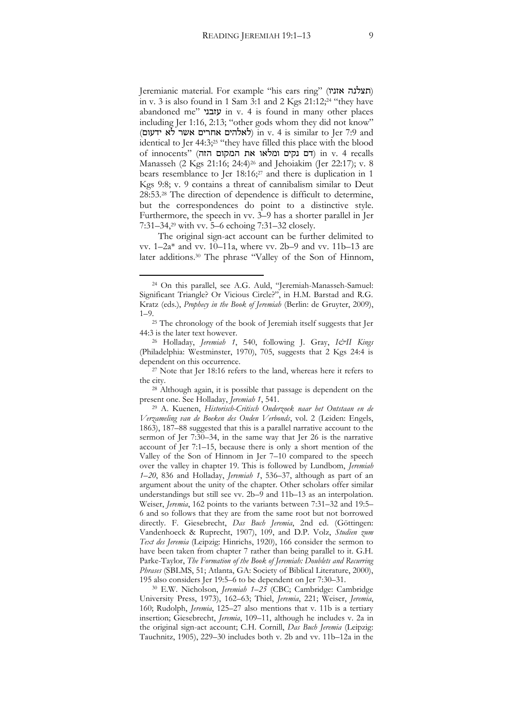Jeremianic material. For example "his ears ring" (תצלנה אזניו) in v. 3 is also found in 1 Sam 3:1 and 2 Kgs 21:12;<sup>24</sup> "they have abandoned me" עזבני in v. 4 is found in many other places including Jer 1:16, 2:13; "other gods whom they did not know" (לאלהים אחרים אשר לא ידעום) in v. 4 is similar to Jer 7:9 and identical to Jer 44:3;<sup>25</sup> "they have filled this place with the blood  $\sigma$ recalls (דם נקים ומלאו את המקום הזה) in v. 4 recalls Manasseh (2 Kgs 21:16; 24:4)<sup>26</sup> and Jehoiakim (Jer 22:17); v. 8 bears resemblance to Jer 18:16;<sup>27</sup> and there is duplication in 1 Kgs 9:8; v. 9 contains a threat of cannibalism similar to Deut 28:53.<sup>28</sup> The direction of dependence is difficult to determine, but the correspondences do point to a distinctive style. Furthermore, the speech in vv. 3–9 has a shorter parallel in Jer 7:31–34,<sup>29</sup> with vv. 5–6 echoing 7:31–32 closely.

The original sign-act account can be further delimited to vv. 1–2a\* and vv. 10–11a, where vv. 2b–9 and vv. 11b–13 are later additions.<sup>30</sup> The phrase "Valley of the Son of Hinnom,

j

<sup>28</sup> Although again, it is possible that passage is dependent on the present one. See Holladay, *Jeremiah 1*, 541.

<sup>30</sup> E.W. Nicholson, *Jeremiah 1*–*25* (CBC; Cambridge: Cambridge University Press, 1973), 162–63; Thiel, *Jeremia*, 221; Weiser, *Jeremia*, 160; Rudolph, *Jeremia*, 125–27 also mentions that v. 11b is a tertiary insertion; Giesebrecht, *Jeremia*, 109–11, although he includes v. 2a in the original sign-act account; C.H. Cornill, *Das Buch Jeremia* (Leipzig: Tauchnitz, 1905), 229–30 includes both v. 2b and vv. 11b–12a in the

<sup>24</sup> On this parallel, see A.G. Auld, "Jeremiah-Manasseh-Samuel: Significant Triangle? Or Vicious Circle?", in H.M. Barstad and R.G. Kratz (eds.), *Prophecy in the Book of Jeremiah* (Berlin: de Gruyter, 2009), 1–9.

<sup>25</sup> The chronology of the book of Jeremiah itself suggests that Jer 44:3 is the later text however.

<sup>26</sup> Holladay, *Jeremiah 1*, 540, following J. Gray, *I&II Kings* (Philadelphia: Westminster, 1970), 705, suggests that 2 Kgs 24:4 is dependent on this occurrence.

<sup>27</sup> Note that Jer 18:16 refers to the land, whereas here it refers to the city.

<sup>29</sup> A. Kuenen, *Historisch-Critisch Onderzoek naar het Ontstaan en de Verzameling van de Boeken des Ouden Verbonds*, vol. 2 (Leiden: Engels, 1863), 187–88 suggested that this is a parallel narrative account to the sermon of Jer 7:30–34, in the same way that Jer 26 is the narrative account of Jer 7:1–15, because there is only a short mention of the Valley of the Son of Hinnom in Jer 7–10 compared to the speech over the valley in chapter 19. This is followed by Lundbom, *Jeremiah 1*–*20*, 836 and Holladay, *Jeremiah 1*, 536–37, although as part of an argument about the unity of the chapter. Other scholars offer similar understandings but still see vv. 2b–9 and 11b–13 as an interpolation. Weiser, *Jeremia*, 162 points to the variants between 7:31–32 and 19:5– 6 and so follows that they are from the same root but not borrowed directly. F. Giesebrecht, *Das Buch Jeremia*, 2nd ed. (Göttingen: Vandenhoeck & Ruprecht, 1907), 109, and D.P. Volz, *Studien zum Text des Jeremia* (Leipzig: Hinrichs, 1920), 166 consider the sermon to have been taken from chapter 7 rather than being parallel to it. G.H. Parke-Taylor, *The Formation of the Book of Jeremiah: Doublets and Recurring Phrases* (SBLMS, 51; Atlanta, GA: Society of Biblical Literature, 2000), 195 also considers Jer 19:5–6 to be dependent on Jer 7:30–31.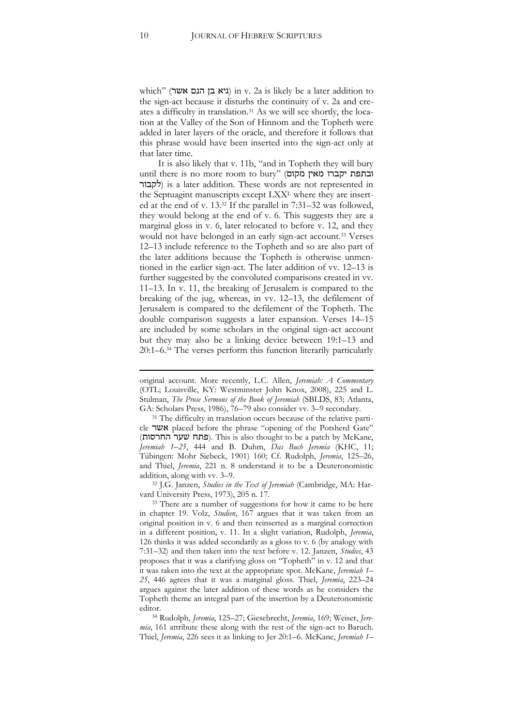which" (גיא בן הנם אשר) in v. 2a is likely be a later addition to the sign-act because it disturbs the continuity of v. 2a and creates a difficulty in translation.<sup>31</sup> As we will see shortly, the location at the Valley of the Son of Hinnom and the Topheth were added in later layers of the oracle, and therefore it follows that this phrase would have been inserted into the sign-act only at that later time.

It is also likely that v. 11b, "and in Topheth they will bury until there is no more room to bury" (מקום מאין יקברו ובתפת לקבור) is a later addition. These words are not represented in the Septuagint manuscripts except LXX<sup>L</sup> where they are inserted at the end of v. 13.<sup>32</sup> If the parallel in 7:31–32 was followed, they would belong at the end of v. 6. This suggests they are a marginal gloss in v. 6, later relocated to before v. 12, and they would not have belonged in an early sign-act account.<sup>33</sup> Verses 12–13 include reference to the Topheth and so are also part of the later additions because the Topheth is otherwise unmentioned in the earlier sign-act. The later addition of vv. 12–13 is further suggested by the convoluted comparisons created in vv. 11–13. In v. 11, the breaking of Jerusalem is compared to the breaking of the jug, whereas, in vv. 12–13, the defilement of Jerusalem is compared to the defilement of the Topheth. The double comparison suggests a later expansion. Verses 14–15 are included by some scholars in the original sign-act account but they may also be a linking device between 19:1–13 and 20:1–6.<sup>34</sup> The verses perform this function literarily particularly

<sup>32</sup> J.G. Janzen, *Studies in the Text of Jeremiah* (Cambridge, MA: Harvard University Press, 1973), 205 n. 17.

-

original account. More recently, L.C. Allen, *Jeremiah: A Commentary*  (OTL; Louisville, KY: Westminster John Knox, 2008), 225 and L. Stulman, *The Prose Sermons of the Book of Jeremiah* (SBLDS, 83; Atlanta, GA: Scholars Press, 1986), 76–79 also consider vv. 3–9 secondary.

<sup>&</sup>lt;sup>31</sup> The difficulty in translation occurs because of the relative particle אשר placed before the phrase "opening of the Potsherd Gate" (פתח שער החרסות). This is also thought to be a patch by McKane, *Jeremiah 1*–*25*, 444 and B. Duhm, *Das Buch Jeremia* (KHC, 11; Tübingen: Mohr Siebeck, 1901) 160; Cf. Rudolph, *Jeremia*, 125–26, and Thiel, *Jeremia*, 221 n. 8 understand it to be a Deuteronomistic addition, along with vv. 3–9.

<sup>&</sup>lt;sup>33</sup> There are a number of suggestions for how it came to be here in chapter 19. Volz, *Studien*, 167 argues that it was taken from an original position in v. 6 and then reinserted as a marginal correction in a different position, v. 11. In a slight variation, Rudolph, *Jeremia*, 126 thinks it was added secondarily as a gloss to v. 6 (by analogy with 7:31–32) and then taken into the text before v. 12. Janzen, *Studies*, 43 proposes that it was a clarifying gloss on "Topheth" in v. 12 and that it was taken into the text at the appropriate spot. McKane, *Jeremiah 1*– *25*, 446 agrees that it was a marginal gloss. Thiel, *Jeremia*, 223–24 argues against the later addition of these words as he considers the Topheth theme an integral part of the insertion by a Deuteronomistic editor.

<sup>34</sup> Rudolph, *Jeremia*, 125–27; Giesebrecht, *Jeremia*, 169; Weiser, *Jeremia*, 161 attribute these along with the rest of the sign-act to Baruch. Thiel, *Jeremia*, 226 sees it as linking to Jer 20:1–6. McKane, *Jeremiah 1*–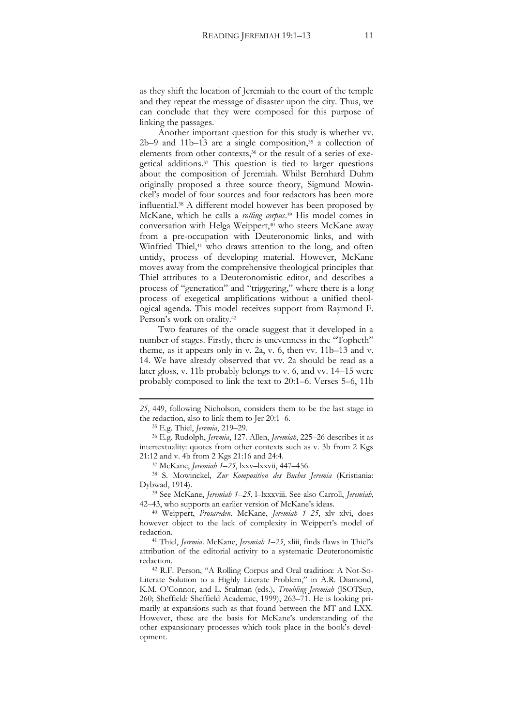as they shift the location of Jeremiah to the court of the temple and they repeat the message of disaster upon the city. Thus, we can conclude that they were composed for this purpose of linking the passages.

Another important question for this study is whether vv.  $2b-9$  and  $11b-13$  are a single composition,<sup>35</sup> a collection of elements from other contexts,<sup>36</sup> or the result of a series of exegetical additions.<sup>37</sup> This question is tied to larger questions about the composition of Jeremiah. Whilst Bernhard Duhm originally proposed a three source theory, Sigmund Mowinckel's model of four sources and four redactors has been more influential.<sup>38</sup> A different model however has been proposed by McKane, which he calls a *rolling corpus*. <sup>39</sup> His model comes in conversation with Helga Weippert,<sup>40</sup> who steers McKane away from a pre-occupation with Deuteronomic links, and with Winfried Thiel,<sup>41</sup> who draws attention to the long, and often untidy, process of developing material. However, McKane moves away from the comprehensive theological principles that Thiel attributes to a Deuteronomistic editor, and describes a process of "generation" and "triggering," where there is a long process of exegetical amplifications without a unified theological agenda. This model receives support from Raymond F. Person's work on orality.<sup>42</sup>

Two features of the oracle suggest that it developed in a number of stages. Firstly, there is unevenness in the "Topheth" theme, as it appears only in v. 2a, v. 6, then vv. 11b–13 and v. 14. We have already observed that vv. 2a should be read as a later gloss, v. 11b probably belongs to v. 6, and vv. 14–15 were probably composed to link the text to 20:1–6. Verses 5–6, 11b

*25*, 449, following Nicholson, considers them to be the last stage in the redaction, also to link them to Jer 20:1–6.

<sup>35</sup> E.g. Thiel, *Jeremia*, 219–29.

-

<sup>36</sup> E.g. Rudolph, *Jeremia*, 127. Allen, *Jeremiah*, 225–26 describes it as intertextuality: quotes from other contexts such as v. 3b from 2 Kgs 21:12 and v. 4b from 2 Kgs 21:16 and 24:4.

<sup>37</sup> McKane, *Jeremiah 1–25*, lxxv–lxxvii, 447–456.

<sup>38</sup> S. Mowinckel, *Zur Komposition des Buches Jeremia* (Kristiania: Dybwad, 1914).

<sup>39</sup> See McKane, *Jeremiah 1*–*25*, l–lxxxviii. See also Carroll, *Jeremiah*, 42–43, who supports an earlier version of McKane's ideas.

<sup>40</sup> Weippert, *Prosareden*. McKane, *Jeremiah 1*–*25*, xlv–xlvi, does however object to the lack of complexity in Weippert's model of redaction.

<sup>41</sup> Thiel, *Jeremia*. McKane, *Jeremiah 1*–*25*, xliii, finds flaws in Thiel's attribution of the editorial activity to a systematic Deuteronomistic redaction.

<sup>42</sup> R.F. Person, "A Rolling Corpus and Oral tradition: A Not-So-Literate Solution to a Highly Literate Problem," in A.R. Diamond, K.M. O'Connor, and L. Stulman (eds.), *Troubling Jeremiah* (JSOTSup, 260; Sheffield: Sheffield Academic, 1999), 263–71. He is looking primarily at expansions such as that found between the MT and LXX. However, these are the basis for McKane's understanding of the other expansionary processes which took place in the book's development.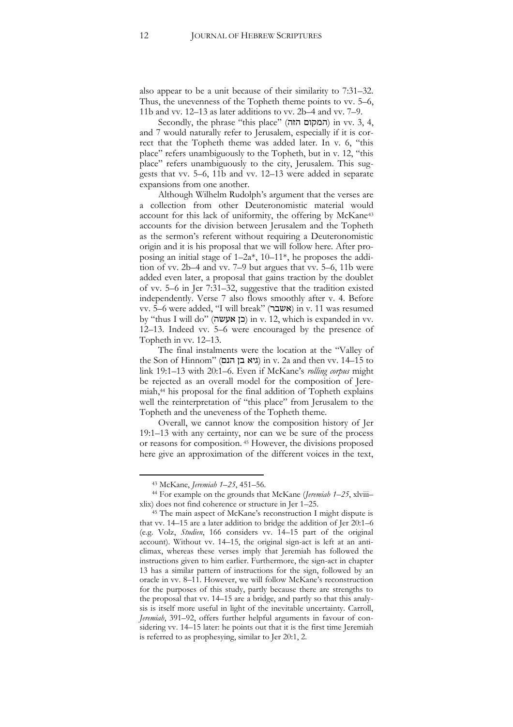also appear to be a unit because of their similarity to 7:31–32. Thus, the unevenness of the Topheth theme points to vv. 5–6, 11b and vv. 12–13 as later additions to vv. 2b–4 and vv. 7–9.

Secondly, the phrase "this place" (המקום הזה) in vv. 3, 4, and 7 would naturally refer to Jerusalem, especially if it is correct that the Topheth theme was added later. In v. 6, "this place" refers unambiguously to the Topheth, but in v. 12, "this place" refers unambiguously to the city, Jerusalem. This suggests that vv. 5–6, 11b and vv. 12–13 were added in separate expansions from one another.

Although Wilhelm Rudolph's argument that the verses are a collection from other Deuteronomistic material would account for this lack of uniformity, the offering by McKane<sup>43</sup> accounts for the division between Jerusalem and the Topheth as the sermon's referent without requiring a Deuteronomistic origin and it is his proposal that we will follow here. After proposing an initial stage of 1–2a\*, 10–11\*, he proposes the addition of vv. 2b–4 and vv. 7–9 but argues that vv. 5–6, 11b were added even later, a proposal that gains traction by the doublet of vv. 5–6 in Jer 7:31–32, suggestive that the tradition existed independently. Verse 7 also flows smoothly after v. 4. Before vv. 5–6 were added, "I will break" (אשבר (in v. 11 was resumed by "thus I will do" (כן אעשה) in v. 12, which is expanded in vv. 12–13. Indeed vv. 5–6 were encouraged by the presence of Topheth in vv. 12–13.

The final instalments were the location at the "Valley of the Son of Hinnom" (גיא בן הנם) in v. 2a and then vv.  $14-15$  to link 19:1–13 with 20:1–6. Even if McKane's *rolling corpus* might be rejected as an overall model for the composition of Jeremiah,<sup>44</sup> his proposal for the final addition of Topheth explains well the reinterpretation of "this place" from Jerusalem to the Topheth and the uneveness of the Topheth theme.

Overall, we cannot know the composition history of Jer 19:1–13 with any certainty, nor can we be sure of the process or reasons for composition. <sup>45</sup> However, the divisions proposed here give an approximation of the different voices in the text,

<sup>43</sup> McKane, *Jeremiah 1*–*25*, 451–56.

<sup>44</sup> For example on the grounds that McKane (*Jeremiah 1*–*25*, xlviii– xlix) does not find coherence or structure in Jer 1–25.

<sup>45</sup> The main aspect of McKane's reconstruction I might dispute is that vv. 14–15 are a later addition to bridge the addition of Jer 20:1–6 (e.g. Volz, *Studien*, 166 considers vv. 14–15 part of the original account). Without vv. 14–15, the original sign-act is left at an anticlimax, whereas these verses imply that Jeremiah has followed the instructions given to him earlier. Furthermore, the sign-act in chapter 13 has a similar pattern of instructions for the sign, followed by an oracle in vv. 8–11. However, we will follow McKane's reconstruction for the purposes of this study, partly because there are strengths to the proposal that vv. 14–15 are a bridge, and partly so that this analysis is itself more useful in light of the inevitable uncertainty. Carroll, *Jeremiah*, 391–92, offers further helpful arguments in favour of considering vv. 14–15 later: he points out that it is the first time Jeremiah is referred to as prophesying, similar to Jer 20:1, 2.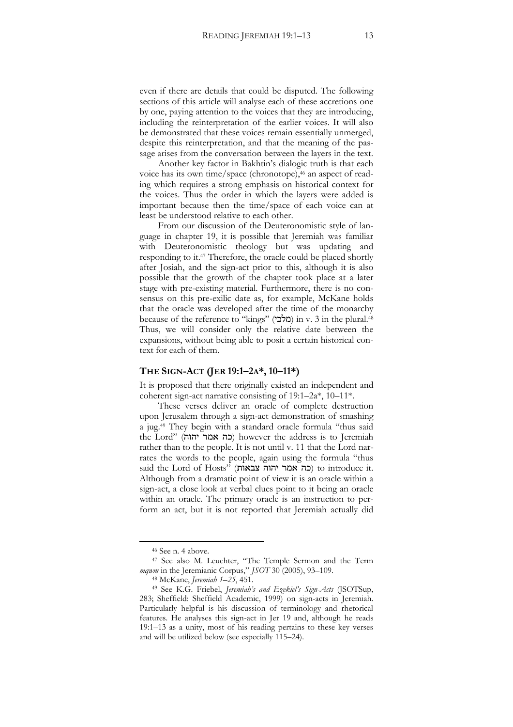even if there are details that could be disputed. The following sections of this article will analyse each of these accretions one by one, paying attention to the voices that they are introducing, including the reinterpretation of the earlier voices. It will also be demonstrated that these voices remain essentially unmerged, despite this reinterpretation, and that the meaning of the passage arises from the conversation between the layers in the text.

Another key factor in Bakhtin's dialogic truth is that each voice has its own time/space (chronotope),<sup>46</sup> an aspect of reading which requires a strong emphasis on historical context for the voices. Thus the order in which the layers were added is important because then the time/space of each voice can at least be understood relative to each other.

From our discussion of the Deuteronomistic style of language in chapter 19, it is possible that Jeremiah was familiar with Deuteronomistic theology but was updating and responding to it.<sup>47</sup> Therefore, the oracle could be placed shortly after Josiah, and the sign-act prior to this, although it is also possible that the growth of the chapter took place at a later stage with pre-existing material. Furthermore, there is no consensus on this pre-exilic date as, for example, McKane holds that the oracle was developed after the time of the monarchy because of the reference to "kings" (מלכי) in v. 3 in the plural.<sup>48</sup> Thus, we will consider only the relative date between the expansions, without being able to posit a certain historical context for each of them.

#### **THE SIGN-ACT (JER 19:1–2A\*, 10–11\*)**

It is proposed that there originally existed an independent and coherent sign-act narrative consisting of 19:1–2a\*, 10–11\*.

These verses deliver an oracle of complete destruction upon Jerusalem through a sign-act demonstration of smashing a jug.<sup>49</sup> They begin with a standard oracle formula "thus said the Lord" (כה אמר יהוה) however the address is to Jeremiah rather than to the people. It is not until v. 11 that the Lord narrates the words to the people, again using the formula "thus said the Lord of Hosts" (בה אמר יהוה צבאות) to introduce it. Although from a dramatic point of view it is an oracle within a sign-act, a close look at verbal clues point to it being an oracle within an oracle. The primary oracle is an instruction to perform an act, but it is not reported that Jeremiah actually did

j

<sup>46</sup> See n. 4 above.

<sup>47</sup> See also M. Leuchter, "The Temple Sermon and the Term *mqwm* in the Jeremianic Corpus," *JSOT* 30 (2005), 93–109.

<sup>48</sup> McKane, *Jeremiah 1*–*25*, 451.

<sup>49</sup> See K.G. Friebel, *Jeremiah's and Ezekiel's Sign-Acts* (JSOTSup, 283; Sheffield: Sheffield Academic, 1999) on sign-acts in Jeremiah. Particularly helpful is his discussion of terminology and rhetorical features. He analyses this sign-act in Jer 19 and, although he reads 19:1–13 as a unity, most of his reading pertains to these key verses and will be utilized below (see especially 115–24).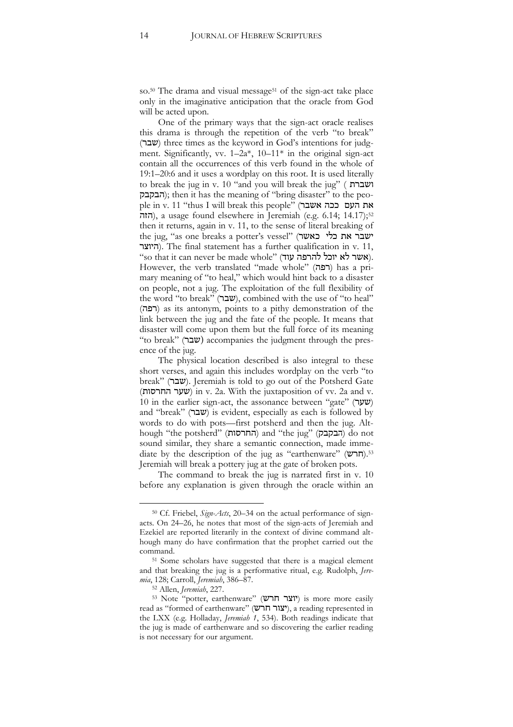so.<sup>50</sup> The drama and visual message<sup>51</sup> of the sign-act take place only in the imaginative anticipation that the oracle from God will be acted upon.

One of the primary ways that the sign-act oracle realises this drama is through the repetition of the verb "to break" (שבר) three times as the keyword in God's intentions for judgment. Significantly, vv.  $1-2a^*$ ,  $10-11^*$  in the original sign-act contain all the occurrences of this verb found in the whole of 19:1–20:6 and it uses a wordplay on this root. It is used literally to break the jug in v. 10 "and you will break the jug" ( ושברת הבקבק); then it has the meaning of "bring disaster" to the people in v. 11 "thus I will break this people" (את העם ככה אשבר הזה), a usage found elsewhere in Jeremiah (e.g. 6.14; 14.17);<sup>52</sup> then it returns, again in v. 11, to the sense of literal breaking of the jug, "as one breaks a potter's vessel" (ישבר את כלי כאשר היוצר(. The final statement has a further qualification in v. 11, "so that it can never be made whole" (אשר לא יוכל להרפה עוד). However, the verb translated "made whole" (רפה) has a primary meaning of "to heal," which would hint back to a disaster on people, not a jug. The exploitation of the full flexibility of the word "to break" (שבר), combined with the use of "to heal" (רפה) as its antonym, points to a pithy demonstration of the link between the jug and the fate of the people. It means that disaster will come upon them but the full force of its meaning "to break" (שבר $($ ") accompanies the judgment through the presence of the jug.

The physical location described is also integral to these short verses, and again this includes wordplay on the verb "to break" (שבר). Jeremiah is told to go out of the Potsherd Gate (החרסות שער (in v. 2a. With the juxtaposition of vv. 2a and v. 10 in the earlier sign-act, the assonance between "gate" (שער) and "break" (שבר) is evident, especially as each is followed by words to do with pots—first potsherd and then the jug. Although "the potsherd" (החרסות) and "the jug" (הבקבק) do not sound similar, they share a semantic connection, made immediate by the description of the jug as "earthenware" (חרש).<sup>53</sup> Jeremiah will break a pottery jug at the gate of broken pots.

The command to break the jug is narrated first in v. 10 before any explanation is given through the oracle within an

<sup>50</sup> Cf. Friebel, *Sign-Acts*, 20–34 on the actual performance of signacts. On 24–26, he notes that most of the sign-acts of Jeremiah and Ezekiel are reported literarily in the context of divine command although many do have confirmation that the prophet carried out the command.

<sup>51</sup> Some scholars have suggested that there is a magical element and that breaking the jug is a performative ritual, e.g. Rudolph, *Jeremia*, 128; Carroll, *Jeremiah*, 386–87.

<sup>52</sup> Allen, *Jeremiah*, 227.

<sup>&</sup>lt;sup>53</sup> Note "potter, earthenware" (**יוצר חרש**) is more more easily read as "formed of earthenware" (יצור חרש), a reading represented in the LXX (e.g. Holladay, *Jeremiah 1*, 534). Both readings indicate that the jug is made of earthenware and so discovering the earlier reading is not necessary for our argument.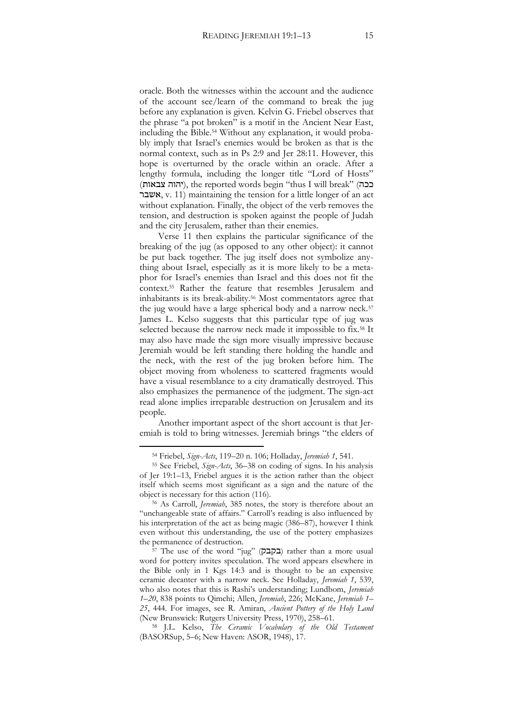oracle. Both the witnesses within the account and the audience of the account see/learn of the command to break the jug before any explanation is given. Kelvin G. Friebel observes that the phrase "a pot broken" is a motif in the Ancient Near East, including the Bible.<sup>54</sup> Without any explanation, it would probably imply that Israel's enemies would be broken as that is the normal context, such as in Ps 2:9 and Jer 28:11. However, this hope is overturned by the oracle within an oracle. After a lengthy formula, including the longer title "Lord of Hosts" (יהוה צבאות), the reported words begin "thus I will break" (ככה אשבר, v. 11) maintaining the tension for a little longer of an act without explanation. Finally, the object of the verb removes the tension, and destruction is spoken against the people of Judah and the city Jerusalem, rather than their enemies.

Verse 11 then explains the particular significance of the breaking of the jug (as opposed to any other object): it cannot be put back together. The jug itself does not symbolize anything about Israel, especially as it is more likely to be a metaphor for Israel's enemies than Israel and this does not fit the context.<sup>55</sup> Rather the feature that resembles Jerusalem and inhabitants is its break-ability.<sup>56</sup> Most commentators agree that the jug would have a large spherical body and a narrow neck.<sup>57</sup> James L. Kelso suggests that this particular type of jug was selected because the narrow neck made it impossible to fix.<sup>58</sup> It may also have made the sign more visually impressive because Jeremiah would be left standing there holding the handle and the neck, with the rest of the jug broken before him. The object moving from wholeness to scattered fragments would have a visual resemblance to a city dramatically destroyed. This also emphasizes the permanence of the judgment. The sign-act read alone implies irreparable destruction on Jerusalem and its people.

Another important aspect of the short account is that Jeremiah is told to bring witnesses. Jeremiah brings "the elders of

j

<sup>58</sup> J.L. Kelso, *The Ceramic Vocabulary of the Old Testament* (BASORSup, 5–6; New Haven: ASOR, 1948), 17.

<sup>54</sup> Friebel, *Sign-Acts*, 119–20 n. 106; Holladay, *Jeremiah 1*, 541.

<sup>55</sup> See Friebel, *Sign-Acts*, 36–38 on coding of signs. In his analysis of Jer 19:1–13, Friebel argues it is the action rather than the object itself which seems most significant as a sign and the nature of the object is necessary for this action (116).

<sup>56</sup> As Carroll, *Jeremiah*, 385 notes, the story is therefore about an "unchangeable state of affairs." Carroll's reading is also influenced by his interpretation of the act as being magic (386–87), however I think even without this understanding, the use of the pottery emphasizes the permanence of destruction.

<sup>57</sup> The use of the word "jug" (בקבק) rather than a more usual word for pottery invites speculation. The word appears elsewhere in the Bible only in 1 Kgs 14:3 and is thought to be an expensive ceramic decanter with a narrow neck. See Holladay, *Jeremiah 1*, 539, who also notes that this is Rashi's understanding; Lundbom, *Jeremiah 1*–*20*, 838 points to Qimchi; Allen, *Jeremiah*, 226; McKane, *Jeremiah 1*– *25*, 444. For images, see R. Amiran, *Ancient Pottery of the Holy Land*  (New Brunswick: Rutgers University Press, 1970), 258–61.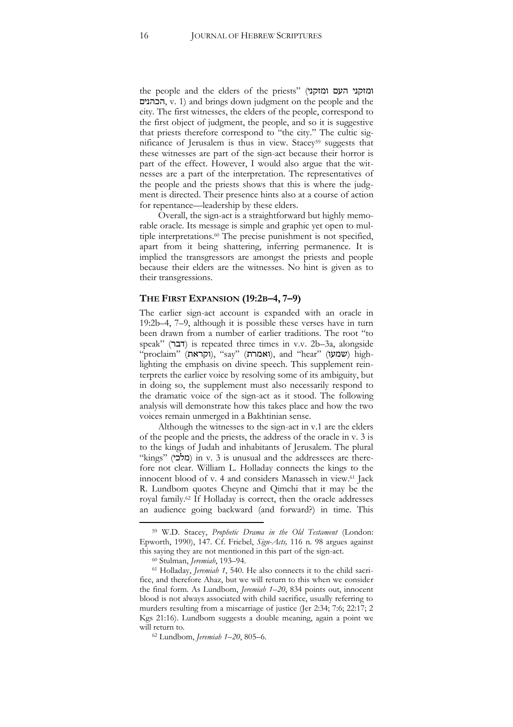the people and the elders of the priests" (ומזקני העם ומזקני הכהנים, v. 1) and brings down judgment on the people and the city. The first witnesses, the elders of the people, correspond to the first object of judgment, the people, and so it is suggestive that priests therefore correspond to "the city." The cultic significance of Jerusalem is thus in view. Stacey<sup>59</sup> suggests that these witnesses are part of the sign-act because their horror is part of the effect. However, I would also argue that the witnesses are a part of the interpretation. The representatives of the people and the priests shows that this is where the judgment is directed. Their presence hints also at a course of action for repentance—leadership by these elders.

Overall, the sign-act is a straightforward but highly memorable oracle. Its message is simple and graphic yet open to multiple interpretations.<sup>60</sup> The precise punishment is not specified, apart from it being shattering, inferring permanence. It is implied the transgressors are amongst the priests and people because their elders are the witnesses. No hint is given as to their transgressions.

#### **THE FIRST EXPANSION (19:2B–4, 7–9)**

The earlier sign-act account is expanded with an oracle in 19:2b–4, 7–9, although it is possible these verses have in turn been drawn from a number of earlier traditions. The root "to speak" (דבר) is repeated three times in v.v. 2b–3a, alongside "(וקראת), "say" (ואמרת), and "hear" (שמעו) highlighting the emphasis on divine speech. This supplement reinterprets the earlier voice by resolving some of its ambiguity, but in doing so, the supplement must also necessarily respond to the dramatic voice of the sign-act as it stood. The following analysis will demonstrate how this takes place and how the two voices remain unmerged in a Bakhtinian sense.

Although the witnesses to the sign-act in v.1 are the elders of the people and the priests, the address of the oracle in v. 3 is to the kings of Judah and inhabitants of Jerusalem. The plural "kings" (מלכי) in v. 3 is unusual and the addressees are therefore not clear. William L. Holladay connects the kings to the innocent blood of v. 4 and considers Manasseh in view.<sup>61</sup> Jack R. Lundbom quotes Cheyne and Qimchi that it may be the royal family.<sup>62</sup> If Holladay is correct, then the oracle addresses an audience going backward (and forward?) in time. This

j

<sup>59</sup> W.D. Stacey, *Prophetic Drama in the Old Testament* (London: Epworth, 1990), 147. Cf. Friebel, *Sign-Acts,* 116 n. 98 argues against this saying they are not mentioned in this part of the sign-act.

<sup>60</sup> Stulman, *Jeremiah*, 193–94.

<sup>61</sup> Holladay, *Jeremiah 1*, 540. He also connects it to the child sacrifice, and therefore Ahaz, but we will return to this when we consider the final form. As Lundbom, *Jeremiah 1*–*20*, 834 points out, innocent blood is not always associated with child sacrifice, usually referring to murders resulting from a miscarriage of justice (Jer 2:34; 7:6; 22:17; 2 Kgs 21:16). Lundbom suggests a double meaning, again a point we will return to.

<sup>62</sup> Lundbom, *Jeremiah 1*–*20*, 805–6.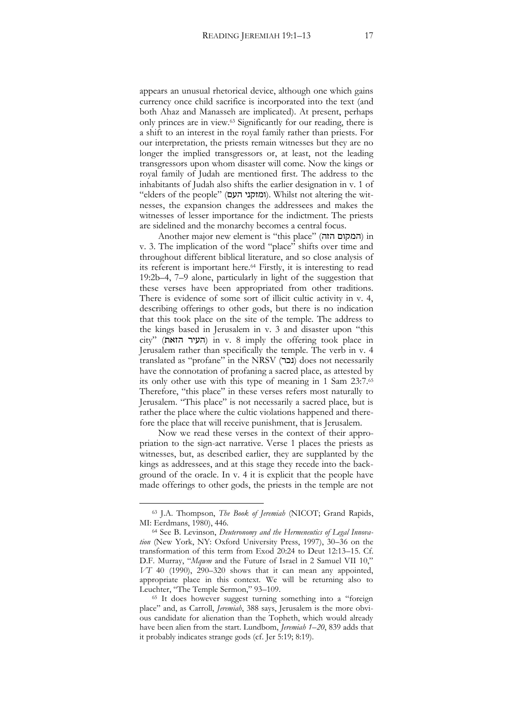appears an unusual rhetorical device, although one which gains currency once child sacrifice is incorporated into the text (and both Ahaz and Manasseh are implicated). At present, perhaps only princes are in view.<sup>63</sup> Significantly for our reading, there is a shift to an interest in the royal family rather than priests. For our interpretation, the priests remain witnesses but they are no longer the implied transgressors or, at least, not the leading transgressors upon whom disaster will come. Now the kings or royal family of Judah are mentioned first. The address to the inhabitants of Judah also shifts the earlier designation in v. 1 of "elders of the people" (ומזקני העם). Whilst not altering the witnesses, the expansion changes the addressees and makes the witnesses of lesser importance for the indictment. The priests are sidelined and the monarchy becomes a central focus.

Another major new element is "this place" (הזה המקום (in v. 3. The implication of the word "place" shifts over time and throughout different biblical literature, and so close analysis of its referent is important here.<sup>64</sup> Firstly, it is interesting to read 19:2b–4, 7–9 alone, particularly in light of the suggestion that these verses have been appropriated from other traditions. There is evidence of some sort of illicit cultic activity in v. 4, describing offerings to other gods, but there is no indication that this took place on the site of the temple. The address to the kings based in Jerusalem in v. 3 and disaster upon "this city" (הזאת העיר (in v. 8 imply the offering took place in Jerusalem rather than specifically the temple. The verb in v. 4 translated as "profane" in the NRSV (נכר) does not necessarily have the connotation of profaning a sacred place, as attested by its only other use with this type of meaning in 1 Sam 23:7.<sup>65</sup> Therefore, "this place" in these verses refers most naturally to Jerusalem. "This place" is not necessarily a sacred place, but is rather the place where the cultic violations happened and therefore the place that will receive punishment, that is Jerusalem.

Now we read these verses in the context of their appropriation to the sign-act narrative. Verse 1 places the priests as witnesses, but, as described earlier, they are supplanted by the kings as addressees, and at this stage they recede into the background of the oracle. In v. 4 it is explicit that the people have made offerings to other gods, the priests in the temple are not

<sup>63</sup> J.A. Thompson, *The Book of Jeremiah* (NICOT; Grand Rapids, MI: Eerdmans, 1980), 446.

<sup>64</sup> See B. Levinson, *Deuteronomy and the Hermeneutics of Legal Innovation* (New York, NY: Oxford University Press, 1997), 30–36 on the transformation of this term from Exod 20:24 to Deut 12:13–15. Cf. D.F. Murray, "*Mqwm* and the Future of Israel in 2 Samuel VII 10," *VT* 40 (1990), 290–320 shows that it can mean any appointed, appropriate place in this context. We will be returning also to Leuchter, "The Temple Sermon," 93–109.

<sup>65</sup> It does however suggest turning something into a "foreign place" and, as Carroll, *Jeremiah*, 388 says, Jerusalem is the more obvious candidate for alienation than the Topheth, which would already have been alien from the start. Lundbom, *Jeremiah 1*–*20*, 839 adds that it probably indicates strange gods (cf. Jer 5:19; 8:19).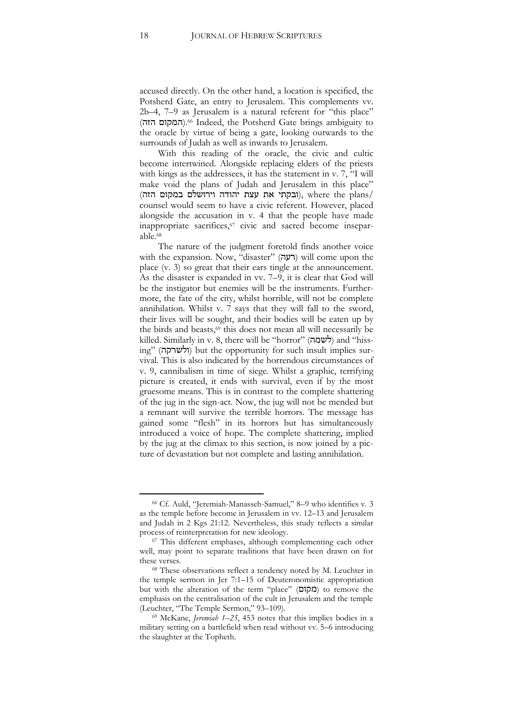accused directly. On the other hand, a location is specified, the Potsherd Gate, an entry to Jerusalem. This complements vv. 2b–4, 7–9 as Jerusalem is a natural referent for "this place" .(המקום הזה) <sup>66</sup> Indeed, the Potsherd Gate brings ambiguity to the oracle by virtue of being a gate, looking outwards to the surrounds of Judah as well as inwards to Jerusalem.

With this reading of the oracle, the civic and cultic become intertwined. Alongside replacing elders of the priests with kings as the addressees, it has the statement in v. 7, "I will make void the plans of Judah and Jerusalem in this place" (ובקתי את עצת יהודה וירושלם במקום הזה), where the plans/ counsel would seem to have a civic referent. However, placed alongside the accusation in v. 4 that the people have made inappropriate sacrifices,<sup>67</sup> civic and sacred become inseparable.<sup>68</sup>

The nature of the judgment foretold finds another voice with the expansion. Now, "disaster" (רעה) will come upon the place (v. 3) so great that their ears tingle at the announcement. As the disaster is expanded in vv. 7–9, it is clear that God will be the instigator but enemies will be the instruments. Furthermore, the fate of the city, whilst horrible, will not be complete annihilation. Whilst v. 7 says that they will fall to the sword, their lives will be sought, and their bodies will be eaten up by the birds and beasts,<sup>69</sup> this does not mean all will necessarily be killed. Similarly in v. 8, there will be "horror" (לשמה) and "hissing" (ולשרקה) but the opportunity for such insult implies survival. This is also indicated by the horrendous circumstances of v. 9, cannibalism in time of siege. Whilst a graphic, terrifying picture is created, it ends with survival, even if by the most gruesome means. This is in contrast to the complete shattering of the jug in the sign-act. Now, the jug will not be mended but a remnant will survive the terrible horrors. The message has gained some "flesh" in its horrors but has simultaneously introduced a voice of hope. The complete shattering, implied by the jug at the climax to this section, is now joined by a picture of devastation but not complete and lasting annihilation.

j

<sup>66</sup> Cf. Auld, "Jeremiah-Manasseh-Samuel," 8–9 who identifies v. 3 as the temple before become in Jerusalem in vv. 12–13 and Jerusalem and Judah in 2 Kgs 21:12. Nevertheless, this study reflects a similar process of reinterpretation for new ideology.

<sup>67</sup> This different emphases, although complementing each other well, may point to separate traditions that have been drawn on for these verses.

<sup>68</sup> These observations reflect a tendency noted by M. Leuchter in the temple sermon in Jer 7:1–15 of Deuteronomistic appropriation but with the alteration of the term "place" (מקום) to remove the emphasis on the centralisation of the cult in Jerusalem and the temple (Leuchter, "The Temple Sermon," 93–109).

<sup>69</sup> McKane, *Jeremiah 1*–*25*, 453 notes that this implies bodies in a military setting on a battlefield when read without vv. 5–6 introducing the slaughter at the Topheth.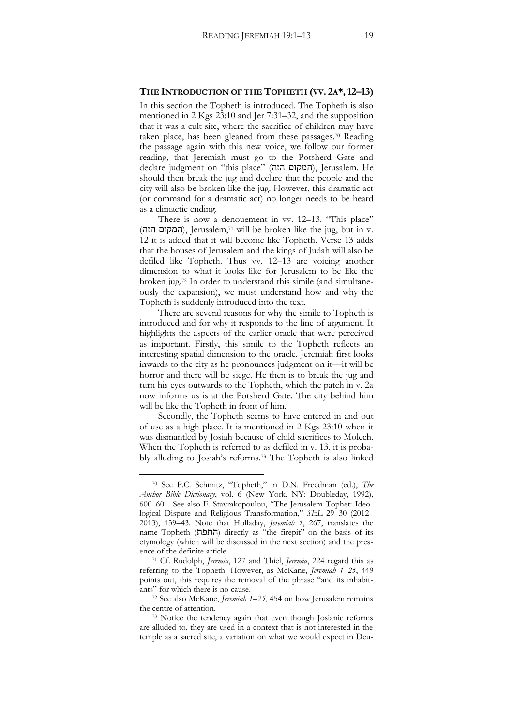#### **THE INTRODUCTION OF THE TOPHETH (VV. 2A\*,12–13)**

In this section the Topheth is introduced. The Topheth is also mentioned in 2 Kgs 23:10 and Jer 7:31–32, and the supposition that it was a cult site, where the sacrifice of children may have taken place, has been gleaned from these passages.<sup>70</sup> Reading the passage again with this new voice, we follow our former reading, that Jeremiah must go to the Potsherd Gate and declare judgment on "this place" (המקום הזה), Jerusalem. He should then break the jug and declare that the people and the city will also be broken like the jug. However, this dramatic act (or command for a dramatic act) no longer needs to be heard as a climactic ending.

There is now a denouement in vv. 12–13. "This place" (הזה המקום(, Jerusalem,<sup>71</sup> will be broken like the jug, but in v. 12 it is added that it will become like Topheth. Verse 13 adds that the houses of Jerusalem and the kings of Judah will also be defiled like Topheth. Thus vv. 12–13 are voicing another dimension to what it looks like for Jerusalem to be like the broken jug.<sup>72</sup> In order to understand this simile (and simultaneously the expansion), we must understand how and why the Topheth is suddenly introduced into the text.

There are several reasons for why the simile to Topheth is introduced and for why it responds to the line of argument. It highlights the aspects of the earlier oracle that were perceived as important. Firstly, this simile to the Topheth reflects an interesting spatial dimension to the oracle. Jeremiah first looks inwards to the city as he pronounces judgment on it—it will be horror and there will be siege. He then is to break the jug and turn his eyes outwards to the Topheth, which the patch in v. 2a now informs us is at the Potsherd Gate. The city behind him will be like the Topheth in front of him.

Secondly, the Topheth seems to have entered in and out of use as a high place. It is mentioned in 2 Kgs 23:10 when it was dismantled by Josiah because of child sacrifices to Molech. When the Topheth is referred to as defiled in v. 13, it is probably alluding to Josiah's reforms.<sup>73</sup> The Topheth is also linked

<sup>70</sup> See P.C. Schmitz, "Topheth," in D.N. Freedman (ed.), *The Anchor Bible Dictionary*, vol. 6 (New York, NY: Doubleday, 1992), 600–601. See also F. Stavrakopoulou, "The Jerusalem Tophet: Ideological Dispute and Religious Transformation," *SEL* 29–30 (2012– 2013), 139–43. Note that Holladay, *Jeremiah 1*, 267, translates the name Topheth (התפת) directly as "the firepit" on the basis of its etymology (which will be discussed in the next section) and the presence of the definite article.

<sup>71</sup> Cf. Rudolph, *Jeremia*, 127 and Thiel, *Jeremia*, 224 regard this as referring to the Topheth. However, as McKane, *Jeremiah 1*–*25*, 449 points out, this requires the removal of the phrase "and its inhabitants" for which there is no cause.

<sup>72</sup> See also McKane, *Jeremiah 1*–*25*, 454 on how Jerusalem remains the centre of attention.

<sup>73</sup> Notice the tendency again that even though Josianic reforms are alluded to, they are used in a context that is not interested in the temple as a sacred site, a variation on what we would expect in Deu-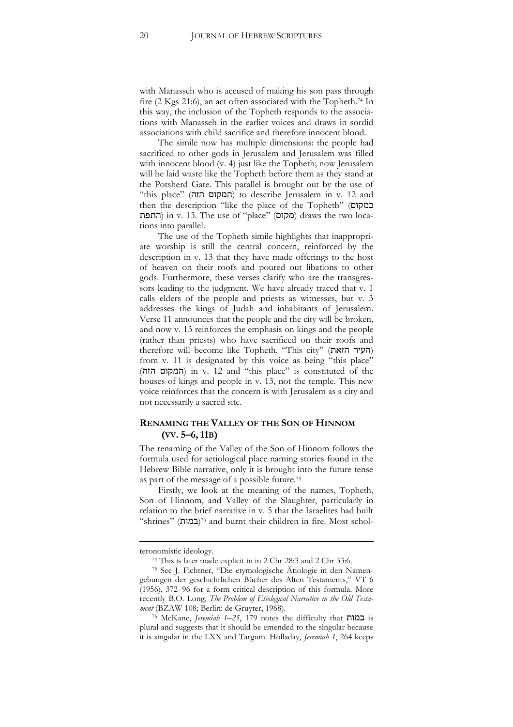with Manasseh who is accused of making his son pass through fire (2 Kgs 21:6), an act often associated with the Topheth.<sup>74</sup> In this way, the inclusion of the Topheth responds to the associations with Manasseh in the earlier voices and draws in sordid associations with child sacrifice and therefore innocent blood.

The simile now has multiple dimensions: the people had sacrificed to other gods in Jerusalem and Jerusalem was filled with innocent blood (v. 4) just like the Topheth; now Jerusalem will be laid waste like the Topheth before them as they stand at the Potsherd Gate. This parallel is brought out by the use of "this place" (הזה המקום (to describe Jerusalem in v. 12 and then the description "like the place of the Topheth" (כמקום התפת) in v. 13. The use of "place" (מקום) draws the two locations into parallel.

The use of the Topheth simile highlights that inappropriate worship is still the central concern, reinforced by the description in v. 13 that they have made offerings to the host of heaven on their roofs and poured out libations to other gods. Furthermore, these verses clarify who are the transgressors leading to the judgment. We have already traced that v. 1 calls elders of the people and priests as witnesses, but v. 3 addresses the kings of Judah and inhabitants of Jerusalem. Verse 11 announces that the people and the city will be broken, and now v. 13 reinforces the emphasis on kings and the people (rather than priests) who have sacrificed on their roofs and therefore will become like Topheth. "This city" (העיר הזאת) from v. 11 is designated by this voice as being "this place" (הזה המקום (in v. 12 and "this place" is constituted of the houses of kings and people in v. 13, not the temple. This new voice reinforces that the concern is with Jerusalem as a city and not necessarily a sacred site.

#### **RENAMING THE VALLEY OF THE SON OF HINNOM (VV. 5–6, 11B)**

The renaming of the Valley of the Son of Hinnom follows the formula used for aetiological place naming stories found in the Hebrew Bible narrative, only it is brought into the future tense as part of the message of a possible future.<sup>75</sup>

Firstly, we look at the meaning of the names, Topheth, Son of Hinnom, and Valley of the Slaughter, particularly in relation to the brief narrative in v. 5 that the Israelites had built (במות) "shrines" <sup>76</sup> and burnt their children in fire. Most schol-

-

teronomistic ideology.

<sup>74</sup> This is later made explicit in in 2 Chr 28:3 and 2 Chr 33:6.

<sup>75</sup> See J. Fichtner, "Die etymologische Ätiologie in den Namengebungen der geschichtlichen Bücher des Alten Testaments," VT 6 (1956), 372–96 for a form critical description of this formula. More recently B.O. Long, *The Problem of Etiological Narrative in the Old Testament* (BZAW 108; Berlin: de Gruyter, 1968).

<sup>76</sup> McKane, *Jeremiah 1*–*25*, 179 notes the difficulty that במות is plural and suggests that it should be emended to the singular because it is singular in the LXX and Targum. Holladay, *Jeremiah 1*, 264 keeps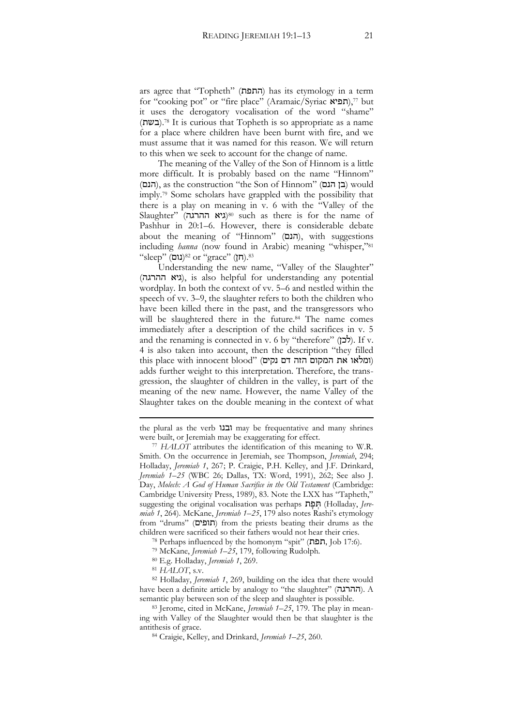ars agree that "Topheth" (התפת) has its etymology in a term for "cooking pot" or "fire place" (Aramaic/Syriac תפיא),<sup>77</sup> but it uses the derogatory vocalisation of the word "shame" .(בשת) <sup>78</sup> It is curious that Topheth is so appropriate as a name for a place where children have been burnt with fire, and we must assume that it was named for this reason. We will return to this when we seek to account for the change of name.

The meaning of the Valley of the Son of Hinnom is a little more difficult. It is probably based on the name "Hinnom" (הנם), as the construction "the Son of Hinnom" (בן הנם) would imply.<sup>79</sup> Some scholars have grappled with the possibility that there is a play on meaning in v. 6 with the "Valley of the Slaughter" (גיא ההרגה)<sup>80</sup> such as there is for the name of Pashhur in 20:1–6. However, there is considerable debate about the meaning of "Hinnom" (הנם), with suggestions including *hanna* (now found in Arabic) meaning "whisper," 81 "sleep" (נום) s<sup>32</sup> or "grace" (חן).<sup>83</sup>

Understanding the new name, "Valley of the Slaughter" (גיא ההרגה), is also helpful for understanding any potential wordplay. In both the context of vv. 5–6 and nestled within the speech of vv. 3–9, the slaughter refers to both the children who have been killed there in the past, and the transgressors who will be slaughtered there in the future.<sup>84</sup> The name comes immediately after a description of the child sacrifices in v. 5 and the renaming is connected in v. 6 by "therefore" (לכן). If v. 4 is also taken into account, then the description "they filled (ומלאו את המקום הזה דם נקים) "this place with innocent blood adds further weight to this interpretation. Therefore, the transgression, the slaughter of children in the valley, is part of the meaning of the new name. However, the name Valley of the Slaughter takes on the double meaning in the context of what

-

the plural as the verb ובנו may be frequentative and many shrines were built, or Jeremiah may be exaggerating for effect.

<sup>77</sup> *HALOT* attributes the identification of this meaning to W.R. Smith. On the occurrence in Jeremiah, see Thompson, *Jeremiah*, 294; Holladay, *Jeremiah 1*, 267; P. Craigie, P.H. Kelley, and J.F. Drinkard, *Jeremiah 1*–*25* (WBC 26; Dallas, TX: Word, 1991), 262; See also J. Day, *Molech: A God of Human Sacrifice in the Old Testament* (Cambridge: Cambridge University Press, 1989), 83. Note the LXX has "Tapheth," suggesting the original vocalisation was perhaps **חפת** (Holladay, *Jeremiah 1*, 264). McKane, *Jeremiah 1*–*25*, 179 also notes Rashi's etymology from "drums" (תופים) from the priests beating their drums as the children were sacrificed so their fathers would not hear their cries.

<sup>78</sup> Perhaps influenced by the homonym "spit" (תפת, Job 17:6).

<sup>79</sup> McKane, *Jeremiah 1*–*25*, 179, following Rudolph.

<sup>80</sup> E.g. Holladay, *Jeremiah 1*, 269.

<sup>81</sup> *HALOT*, s.v.

<sup>82</sup> Holladay, *Jeremiah 1*, 269, building on the idea that there would have been a definite article by analogy to "the slaughter" (ההרגה). A semantic play between son of the sleep and slaughter is possible.

<sup>83</sup> Jerome, cited in McKane, *Jeremiah 1*–*25*, 179. The play in meaning with Valley of the Slaughter would then be that slaughter is the antithesis of grace.

<sup>84</sup> Craigie, Kelley, and Drinkard, *Jeremiah 1*–*25*, 260.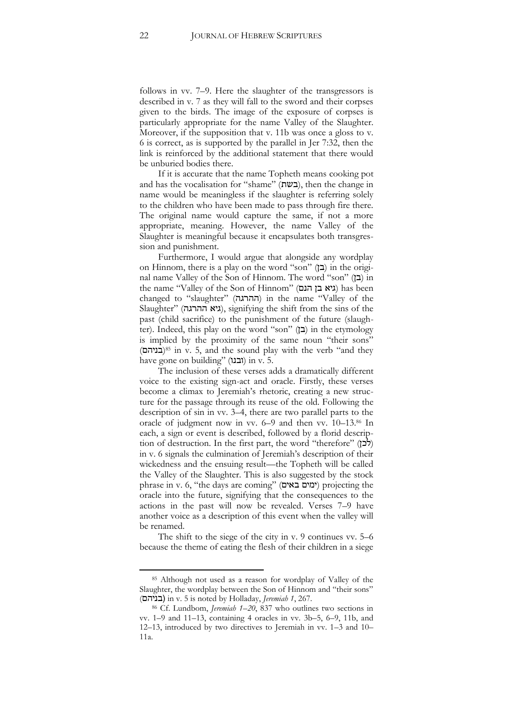follows in vv. 7–9. Here the slaughter of the transgressors is described in v. 7 as they will fall to the sword and their corpses given to the birds. The image of the exposure of corpses is particularly appropriate for the name Valley of the Slaughter. Moreover, if the supposition that v. 11b was once a gloss to v. 6 is correct, as is supported by the parallel in Jer 7:32, then the link is reinforced by the additional statement that there would be unburied bodies there.

If it is accurate that the name Topheth means cooking pot and has the vocalisation for "shame" (בשת), then the change in name would be meaningless if the slaughter is referring solely to the children who have been made to pass through fire there. The original name would capture the same, if not a more appropriate, meaning. However, the name Valley of the Slaughter is meaningful because it encapsulates both transgression and punishment.

Furthermore, I would argue that alongside any wordplay on Hinnom, there is a play on the word "son"  $(2)$  in the original name Valley of the Son of Hinnom. The word "son" (בן) in the name "Valley of the Son of Hinnom" (גיא בן הנם) has been changed to "slaughter" (ההרגה) in the name "Valley of the Slaughter" (גיא ההרגה), signifying the shift from the sins of the past (child sacrifice) to the punishment of the future (slaughter). Indeed, this play on the word "son" ( $\Box$ ) in the etymology is implied by the proximity of the same noun "their sons" (בניהם) <sup>85</sup> in v. 5, and the sound play with the verb "and they have gone on building" (ובנו) in v. 5.

The inclusion of these verses adds a dramatically different voice to the existing sign-act and oracle. Firstly, these verses become a climax to Jeremiah's rhetoric, creating a new structure for the passage through its reuse of the old. Following the description of sin in vv. 3–4, there are two parallel parts to the oracle of judgment now in vv. 6–9 and then vv. 10–13.<sup>86</sup> In each, a sign or event is described, followed by a florid description of destruction. In the first part, the word "therefore" (לכן) in v. 6 signals the culmination of Jeremiah's description of their wickedness and the ensuing result—the Topheth will be called the Valley of the Slaughter. This is also suggested by the stock phrase in v. 6, "the days are coming" (באים ימים (projecting the oracle into the future, signifying that the consequences to the actions in the past will now be revealed. Verses 7–9 have another voice as a description of this event when the valley will be renamed.

The shift to the siege of the city in v. 9 continues vv. 5–6 because the theme of eating the flesh of their children in a siege

<sup>85</sup> Although not used as a reason for wordplay of Valley of the Slaughter, the wordplay between the Son of Hinnom and "their sons" (בניהם (in v. 5 is noted by Holladay, *Jeremiah 1*, 267.

<sup>86</sup> Cf. Lundbom, *Jeremiah 1*–*20*, 837 who outlines two sections in vv. 1–9 and 11–13, containing 4 oracles in vv. 3b–5, 6–9, 11b, and 12–13, introduced by two directives to Jeremiah in vv. 1–3 and 10– 11a.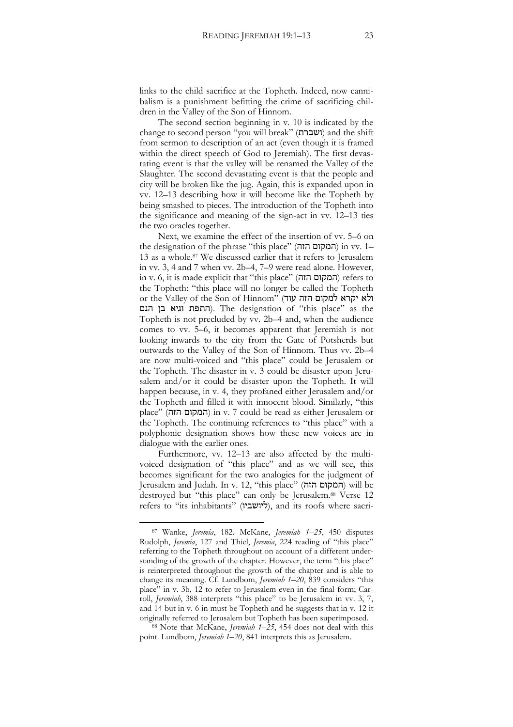links to the child sacrifice at the Topheth. Indeed, now cannibalism is a punishment befitting the crime of sacrificing children in the Valley of the Son of Hinnom.

The second section beginning in v. 10 is indicated by the change to second person "you will break" (ושברת (and the shift from sermon to description of an act (even though it is framed within the direct speech of God to Jeremiah). The first devastating event is that the valley will be renamed the Valley of the Slaughter. The second devastating event is that the people and city will be broken like the jug. Again, this is expanded upon in vv. 12–13 describing how it will become like the Topheth by being smashed to pieces. The introduction of the Topheth into the significance and meaning of the sign-act in vv. 12–13 ties the two oracles together.

Next, we examine the effect of the insertion of vv. 5–6 on the designation of the phrase "this place" (הזה המקום (in vv. 1– 13 as a whole.<sup>87</sup> We discussed earlier that it refers to Jerusalem in vv. 3, 4 and 7 when vv. 2b–4, 7–9 were read alone. However, in v. 6, it is made explicit that "this place" (הזה המקום (refers to the Topheth: "this place will no longer be called the Topheth or the Valley of the Son of Hinnom" (ג'א יקרא למקום הזה עוד התפת וגיא בן הנם). The designation of "this place" as the Topheth is not precluded by vv. 2b–4 and, when the audience comes to vv. 5–6, it becomes apparent that Jeremiah is not looking inwards to the city from the Gate of Potsherds but outwards to the Valley of the Son of Hinnom. Thus vv. 2b–4 are now multi-voiced and "this place" could be Jerusalem or the Topheth. The disaster in v. 3 could be disaster upon Jerusalem and/or it could be disaster upon the Topheth. It will happen because, in v. 4, they profaned either Jerusalem and/or the Topheth and filled it with innocent blood. Similarly, "this place" (הזה המקום (in v. 7 could be read as either Jerusalem or the Topheth. The continuing references to "this place" with a polyphonic designation shows how these new voices are in dialogue with the earlier ones.

Furthermore, vv. 12–13 are also affected by the multivoiced designation of "this place" and as we will see, this becomes significant for the two analogies for the judgment of Jerusalem and Judah. In v. 12, "this place" (הזה המקום (will be destroyed but "this place" can only be Jerusalem.<sup>88</sup> Verse 12 refers to "its inhabitants" (ליושביו), and its roofs where sacri-

j

<sup>88</sup> Note that McKane, *Jeremiah 1*–*25*, 454 does not deal with this point. Lundbom, *Jeremiah 1*–*20*, 841 interprets this as Jerusalem.

<sup>87</sup> Wanke, *Jeremia*, 182. McKane, *Jeremiah 1*–*25*, 450 disputes Rudolph, *Jeremia*, 127 and Thiel, *Jeremia*, 224 reading of "this place" referring to the Topheth throughout on account of a different understanding of the growth of the chapter. However, the term "this place" is reinterpreted throughout the growth of the chapter and is able to change its meaning. Cf. Lundbom, *Jeremiah 1*–*20*, 839 considers "this place" in v. 3b, 12 to refer to Jerusalem even in the final form; Carroll, *Jeremiah*, 388 interprets "this place" to be Jerusalem in vv. 3, 7, and 14 but in v. 6 in must be Topheth and he suggests that in v. 12 it originally referred to Jerusalem but Topheth has been superimposed.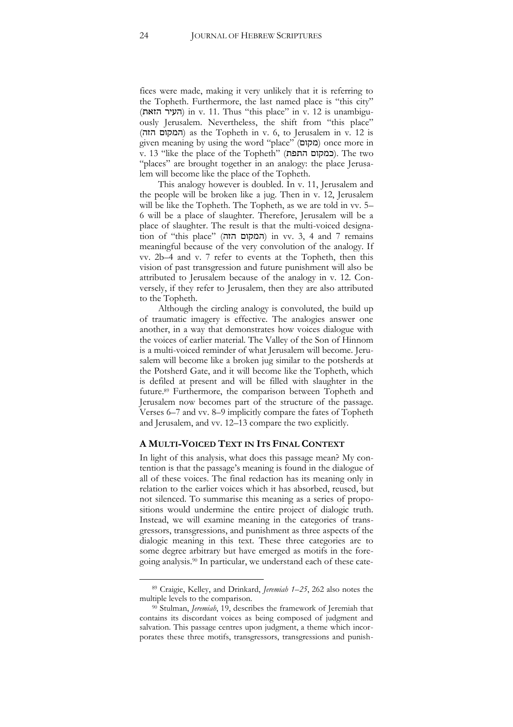fices were made, making it very unlikely that it is referring to the Topheth. Furthermore, the last named place is "this city" (הזאת העיר (in v. 11. Thus "this place" in v. 12 is unambiguously Jerusalem. Nevertheless, the shift from "this place" (הזה המקום (as the Topheth in v. 6, to Jerusalem in v. 12 is given meaning by using the word "place" (מקום) once more in v. 13 "like the place of the Topheth" (כמקום התפת). The two "places" are brought together in an analogy: the place Jerusalem will become like the place of the Topheth.

This analogy however is doubled. In v. 11, Jerusalem and the people will be broken like a jug. Then in v. 12, Jerusalem will be like the Topheth. The Topheth, as we are told in vv. 5– 6 will be a place of slaughter. Therefore, Jerusalem will be a place of slaughter. The result is that the multi-voiced designation of "this place" (הזה המקום (in vv. 3, 4 and 7 remains meaningful because of the very convolution of the analogy. If vv. 2b–4 and v. 7 refer to events at the Topheth, then this vision of past transgression and future punishment will also be attributed to Jerusalem because of the analogy in v. 12. Conversely, if they refer to Jerusalem, then they are also attributed to the Topheth.

Although the circling analogy is convoluted, the build up of traumatic imagery is effective. The analogies answer one another, in a way that demonstrates how voices dialogue with the voices of earlier material. The Valley of the Son of Hinnom is a multi-voiced reminder of what Jerusalem will become. Jerusalem will become like a broken jug similar to the potsherds at the Potsherd Gate, and it will become like the Topheth, which is defiled at present and will be filled with slaughter in the future.<sup>89</sup> Furthermore, the comparison between Topheth and Jerusalem now becomes part of the structure of the passage. Verses 6–7 and vv. 8–9 implicitly compare the fates of Topheth and Jerusalem, and vv. 12–13 compare the two explicitly.

#### **A MULTI-VOICED TEXT IN ITS FINAL CONTEXT**

In light of this analysis, what does this passage mean? My contention is that the passage's meaning is found in the dialogue of all of these voices. The final redaction has its meaning only in relation to the earlier voices which it has absorbed, reused, but not silenced. To summarise this meaning as a series of propositions would undermine the entire project of dialogic truth. Instead, we will examine meaning in the categories of transgressors, transgressions, and punishment as three aspects of the dialogic meaning in this text. These three categories are to some degree arbitrary but have emerged as motifs in the foregoing analysis.<sup>90</sup> In particular, we understand each of these cate-

j

<sup>89</sup> Craigie, Kelley, and Drinkard, *Jeremiah 1–25*, 262 also notes the multiple levels to the comparison.

<sup>90</sup> Stulman, *Jeremiah*, 19, describes the framework of Jeremiah that contains its discordant voices as being composed of judgment and salvation. This passage centres upon judgment, a theme which incorporates these three motifs, transgressors, transgressions and punish-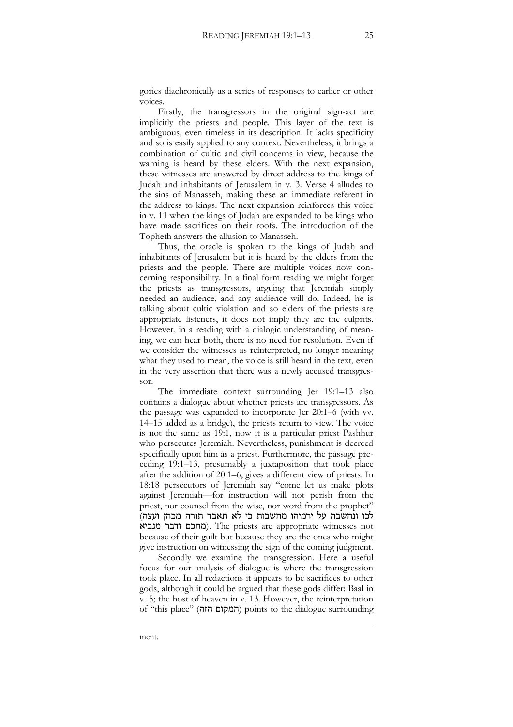gories diachronically as a series of responses to earlier or other voices.

Firstly, the transgressors in the original sign-act are implicitly the priests and people. This layer of the text is ambiguous, even timeless in its description. It lacks specificity and so is easily applied to any context. Nevertheless, it brings a combination of cultic and civil concerns in view, because the warning is heard by these elders. With the next expansion, these witnesses are answered by direct address to the kings of Judah and inhabitants of Jerusalem in v. 3. Verse 4 alludes to the sins of Manasseh, making these an immediate referent in the address to kings. The next expansion reinforces this voice in v. 11 when the kings of Judah are expanded to be kings who have made sacrifices on their roofs. The introduction of the Topheth answers the allusion to Manasseh.

Thus, the oracle is spoken to the kings of Judah and inhabitants of Jerusalem but it is heard by the elders from the priests and the people. There are multiple voices now concerning responsibility. In a final form reading we might forget the priests as transgressors, arguing that Jeremiah simply needed an audience, and any audience will do. Indeed, he is talking about cultic violation and so elders of the priests are appropriate listeners, it does not imply they are the culprits. However, in a reading with a dialogic understanding of meaning, we can hear both, there is no need for resolution. Even if we consider the witnesses as reinterpreted, no longer meaning what they used to mean, the voice is still heard in the text, even in the very assertion that there was a newly accused transgressor.

The immediate context surrounding Jer 19:1–13 also contains a dialogue about whether priests are transgressors. As the passage was expanded to incorporate Jer 20:1–6 (with vv. 14–15 added as a bridge), the priests return to view. The voice is not the same as 19:1, now it is a particular priest Pashhur who persecutes Jeremiah. Nevertheless, punishment is decreed specifically upon him as a priest. Furthermore, the passage preceding 19:1–13, presumably a juxtaposition that took place after the addition of 20:1–6, gives a different view of priests. In 18:18 persecutors of Jeremiah say "come let us make plots against Jeremiah—for instruction will not perish from the priest, nor counsel from the wise, nor word from the prophet" לכו ונחשבה על ירמיהו מחשבות כי לא תאבד תורה מכהן ועצה) מחכם ודבר מנביא). The priests are appropriate witnesses not because of their guilt but because they are the ones who might give instruction on witnessing the sign of the coming judgment.

Secondly we examine the transgression. Here a useful focus for our analysis of dialogue is where the transgression took place. In all redactions it appears to be sacrifices to other gods, although it could be argued that these gods differ: Baal in v. 5; the host of heaven in v. 13. However, the reinterpretation of "this place" (הזה המקום (points to the dialogue surrounding

<u>.</u>

ment.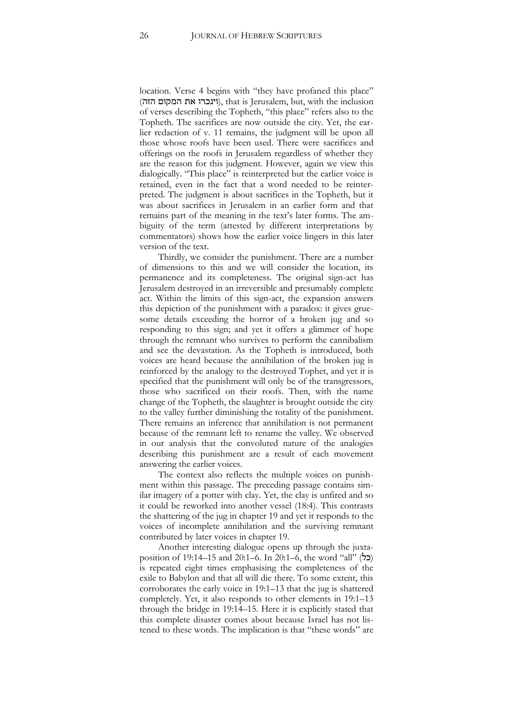location. Verse 4 begins with "they have profaned this place" (וינכרו את המקום הזה), that is Jerusalem, but, with the inclusion of verses describing the Topheth, "this place" refers also to the Topheth. The sacrifices are now outside the city. Yet, the earlier redaction of v. 11 remains, the judgment will be upon all those whose roofs have been used. There were sacrifices and offerings on the roofs in Jerusalem regardless of whether they are the reason for this judgment. However, again we view this dialogically. "This place" is reinterpreted but the earlier voice is retained, even in the fact that a word needed to be reinterpreted. The judgment is about sacrifices in the Topheth, but it was about sacrifices in Jerusalem in an earlier form and that remains part of the meaning in the text's later forms. The ambiguity of the term (attested by different interpretations by commentators) shows how the earlier voice lingers in this later version of the text.

Thirdly, we consider the punishment. There are a number of dimensions to this and we will consider the location, its permanence and its completeness. The original sign-act has Jerusalem destroyed in an irreversible and presumably complete act. Within the limits of this sign-act, the expansion answers this depiction of the punishment with a paradox: it gives gruesome details exceeding the horror of a broken jug and so responding to this sign; and yet it offers a glimmer of hope through the remnant who survives to perform the cannibalism and see the devastation. As the Topheth is introduced, both voices are heard because the annihilation of the broken jug is reinforced by the analogy to the destroyed Tophet, and yet it is specified that the punishment will only be of the transgressors, those who sacrificed on their roofs. Then, with the name change of the Topheth, the slaughter is brought outside the city to the valley further diminishing the totality of the punishment. There remains an inference that annihilation is not permanent because of the remnant left to rename the valley. We observed in our analysis that the convoluted nature of the analogies describing this punishment are a result of each movement answering the earlier voices.

The context also reflects the multiple voices on punishment within this passage. The preceding passage contains similar imagery of a potter with clay. Yet, the clay is unfired and so it could be reworked into another vessel (18:4). This contrasts the shattering of the jug in chapter 19 and yet it responds to the voices of incomplete annihilation and the surviving remnant contributed by later voices in chapter 19.

Another interesting dialogue opens up through the juxtaposition of 19:14–15 and 20:1–6. In 20:1–6, the word "all" ( $\geq$ ) is repeated eight times emphasising the completeness of the exile to Babylon and that all will die there. To some extent, this corroborates the early voice in 19:1–13 that the jug is shattered completely. Yet, it also responds to other elements in 19:1–13 through the bridge in 19:14–15. Here it is explicitly stated that this complete disaster comes about because Israel has not listened to these words. The implication is that "these words" are